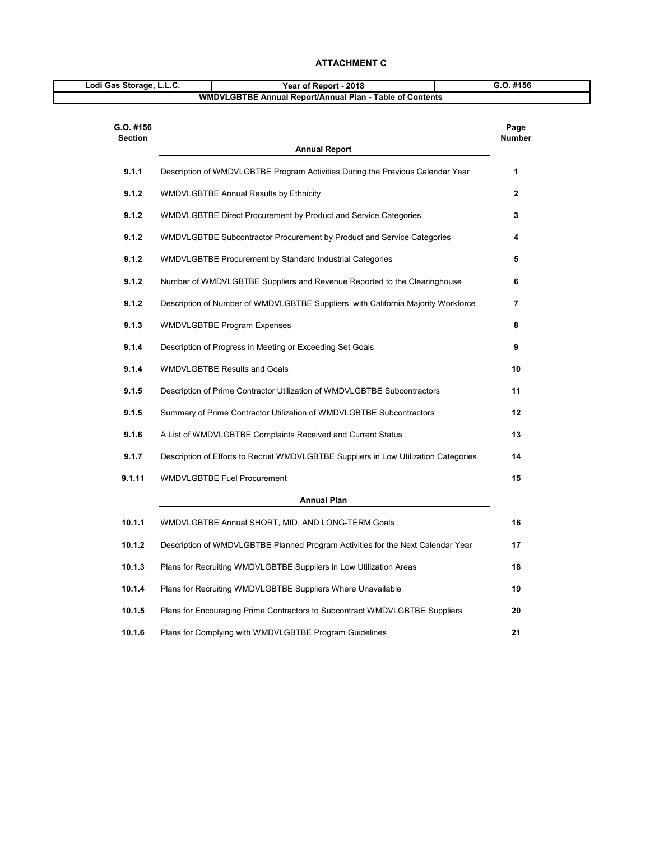| Lodi Gas Storage, L.L.C.    | Year of Report - 2018                                                                | G.O. #156               |  |
|-----------------------------|--------------------------------------------------------------------------------------|-------------------------|--|
|                             | <b>WMDVLGBTBE Annual Report/Annual Plan - Table of Contents</b>                      |                         |  |
| G.O. #156<br><b>Section</b> | <b>Annual Report</b>                                                                 | Page<br><b>Number</b>   |  |
| 9.1.1                       | Description of WMDVLGBTBE Program Activities During the Previous Calendar Year       | 1                       |  |
| 9.1.2                       | <b>WMDVLGBTBE Annual Results by Ethnicity</b>                                        | $\mathbf{2}$            |  |
| 9.1.2                       | WMDVLGBTBE Direct Procurement by Product and Service Categories                      | 3                       |  |
| 9.1.2                       | WMDVLGBTBE Subcontractor Procurement by Product and Service Categories               | 4                       |  |
| 9.1.2                       | WMDVLGBTBE Procurement by Standard Industrial Categories                             | 5                       |  |
| 9.1.2                       | Number of WMDVLGBTBE Suppliers and Revenue Reported to the Clearinghouse             | 6                       |  |
| 9.1.2                       | Description of Number of WMDVLGBTBE Suppliers with California Majority Workforce     | $\overline{\mathbf{7}}$ |  |
| 9.1.3                       | <b>WMDVLGBTBE Program Expenses</b>                                                   | 8                       |  |
| 9.1.4                       | Description of Progress in Meeting or Exceeding Set Goals                            | 9                       |  |
| 9.1.4                       | <b>WMDVLGBTBE Results and Goals</b>                                                  | 10                      |  |
| 9.1.5                       | Description of Prime Contractor Utilization of WMDVLGBTBE Subcontractors             | 11                      |  |
| 9.1.5                       | Summary of Prime Contractor Utilization of WMDVLGBTBE Subcontractors                 | 12                      |  |
| 9.1.6                       | A List of WMDVLGBTBE Complaints Received and Current Status                          | 13                      |  |
| 9.1.7                       | Description of Efforts to Recruit WMDVLGBTBE Suppliers in Low Utilization Categories | 14                      |  |
| 9.1.11                      | <b>WMDVLGBTBE Fuel Procurement</b>                                                   | 15                      |  |
|                             | <b>Annual Plan</b>                                                                   |                         |  |
| 10.1.1                      | WMDVLGBTBE Annual SHORT, MID, AND LONG-TERM Goals                                    | 16                      |  |
| 10.1.2                      | Description of WMDVLGBTBE Planned Program Activities for the Next Calendar Year      | 17                      |  |
| 10.1.3                      | Plans for Recruiting WMDVLGBTBE Suppliers in Low Utilization Areas                   | 18                      |  |
| 10.1.4                      | Plans for Recruiting WMDVLGBTBE Suppliers Where Unavailable                          | 19                      |  |
| 10.1.5                      | Plans for Encouraging Prime Contractors to Subcontract WMDVLGBTBE Suppliers          | 20                      |  |
| 10.1.6                      | Plans for Complying with WMDVLGBTBE Program Guidelines                               | 21                      |  |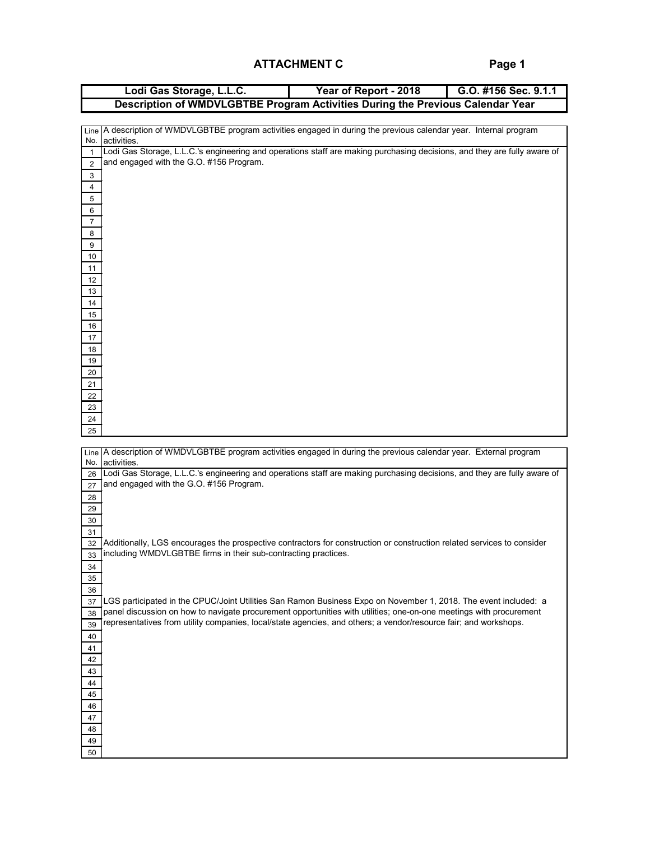**Page 1**

|                  | Lodi Gas Storage, L.L.C.                                                                                                                                                                                                              | Year of Report - 2018 | G.O. #156 Sec. 9.1.1 |
|------------------|---------------------------------------------------------------------------------------------------------------------------------------------------------------------------------------------------------------------------------------|-----------------------|----------------------|
|                  | Description of WMDVLGBTBE Program Activities During the Previous Calendar Year                                                                                                                                                        |                       |                      |
|                  |                                                                                                                                                                                                                                       |                       |                      |
|                  | Line   A description of WMDVLGBTBE program activities engaged in during the previous calendar year. Internal program                                                                                                                  |                       |                      |
| No.              | activities.                                                                                                                                                                                                                           |                       |                      |
| $\mathbf{1}$     | Lodi Gas Storage, L.L.C.'s engineering and operations staff are making purchasing decisions, and they are fully aware of<br>and engaged with the G.O. #156 Program.                                                                   |                       |                      |
| $\overline{2}$   |                                                                                                                                                                                                                                       |                       |                      |
| 3<br>4           |                                                                                                                                                                                                                                       |                       |                      |
| 5                |                                                                                                                                                                                                                                       |                       |                      |
| 6                |                                                                                                                                                                                                                                       |                       |                      |
| 7                |                                                                                                                                                                                                                                       |                       |                      |
| 8                |                                                                                                                                                                                                                                       |                       |                      |
| $\boldsymbol{9}$ |                                                                                                                                                                                                                                       |                       |                      |
| 10               |                                                                                                                                                                                                                                       |                       |                      |
| 11               |                                                                                                                                                                                                                                       |                       |                      |
| 12               |                                                                                                                                                                                                                                       |                       |                      |
| 13               |                                                                                                                                                                                                                                       |                       |                      |
| 14               |                                                                                                                                                                                                                                       |                       |                      |
| 15<br>16         |                                                                                                                                                                                                                                       |                       |                      |
| 17               |                                                                                                                                                                                                                                       |                       |                      |
| 18               |                                                                                                                                                                                                                                       |                       |                      |
| 19               |                                                                                                                                                                                                                                       |                       |                      |
| 20               |                                                                                                                                                                                                                                       |                       |                      |
| 21               |                                                                                                                                                                                                                                       |                       |                      |
| 22               |                                                                                                                                                                                                                                       |                       |                      |
| 23               |                                                                                                                                                                                                                                       |                       |                      |
| 24<br>25         |                                                                                                                                                                                                                                       |                       |                      |
|                  |                                                                                                                                                                                                                                       |                       |                      |
|                  | Line A description of WMDVLGBTBE program activities engaged in during the previous calendar year. External program                                                                                                                    |                       |                      |
| No.              | activities.                                                                                                                                                                                                                           |                       |                      |
| 26               | Lodi Gas Storage, L.L.C.'s engineering and operations staff are making purchasing decisions, and they are fully aware of                                                                                                              |                       |                      |
| 27               | and engaged with the G.O. #156 Program.                                                                                                                                                                                               |                       |                      |
| 28<br>29         |                                                                                                                                                                                                                                       |                       |                      |
| 30               |                                                                                                                                                                                                                                       |                       |                      |
| 31               |                                                                                                                                                                                                                                       |                       |                      |
| 32               | Additionally, LGS encourages the prospective contractors for construction or construction related services to consider                                                                                                                |                       |                      |
| 33               | including WMDVLGBTBE firms in their sub-contracting practices.                                                                                                                                                                        |                       |                      |
| 34               |                                                                                                                                                                                                                                       |                       |                      |
| $35\,$           |                                                                                                                                                                                                                                       |                       |                      |
| 36               |                                                                                                                                                                                                                                       |                       |                      |
| 37<br>38         | LGS participated in the CPUC/Joint Utilities San Ramon Business Expo on November 1, 2018. The event included: a<br>panel discussion on how to navigate procurement opportunities with utilities; one-on-one meetings with procurement |                       |                      |
| 39               | representatives from utility companies, local/state agencies, and others; a vendor/resource fair; and workshops.                                                                                                                      |                       |                      |
| 40               |                                                                                                                                                                                                                                       |                       |                      |
| 41               |                                                                                                                                                                                                                                       |                       |                      |
| 42               |                                                                                                                                                                                                                                       |                       |                      |
| 43               |                                                                                                                                                                                                                                       |                       |                      |
| 44               |                                                                                                                                                                                                                                       |                       |                      |
| 45               |                                                                                                                                                                                                                                       |                       |                      |
| 46               |                                                                                                                                                                                                                                       |                       |                      |
| 47<br>48         |                                                                                                                                                                                                                                       |                       |                      |
| 49               |                                                                                                                                                                                                                                       |                       |                      |
| 50               |                                                                                                                                                                                                                                       |                       |                      |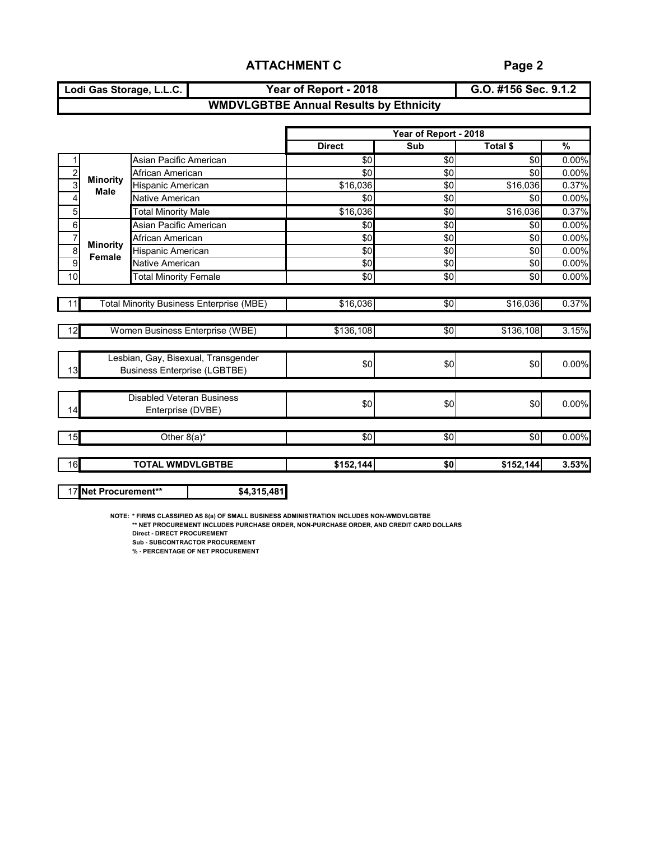**Lodi Gas Storage, L.L.C. Year of Report - 2018**

**G.O. #156 Sec. 9.1.2**

## **WMDVLGBTBE Annual Results by Ethnicity**

|                |                                                       |                                                                            |               | Year of Report - 2018 |                 |          |
|----------------|-------------------------------------------------------|----------------------------------------------------------------------------|---------------|-----------------------|-----------------|----------|
|                |                                                       |                                                                            | <b>Direct</b> | Sub                   | Total \$        | %        |
|                |                                                       | Asian Pacific American                                                     | $\sqrt{6}$    | $\sqrt{6}$            | \$0             | 0.00%    |
| $\frac{2}{3}$  | <b>Minority</b>                                       | African American                                                           | \$0           | \$0                   | \$0             | 0.00%    |
|                | <b>Male</b>                                           | Hispanic American                                                          | \$16,036      | \$0                   | \$16,036        | 0.37%    |
| 4              |                                                       | Native American                                                            | \$0           | \$0                   | \$0             | 0.00%    |
| 5              |                                                       | <b>Total Minority Male</b>                                                 | \$16,036      | $\sqrt{6}$            | \$16,036        | 0.37%    |
| 6              |                                                       | Asian Pacific American                                                     | \$0           | \$0                   | \$0             | 0.00%    |
| $\overline{7}$ |                                                       | African American                                                           | \$0           | \$0                   | \$0             | $0.00\%$ |
| $\overline{8}$ | <b>Minority</b><br><b>Female</b>                      | Hispanic American                                                          | \$0           | \$0                   | \$0             | 0.00%    |
| 9              |                                                       | Native American                                                            | \$0           | \$0                   | \$0             | 0.00%    |
| 10             |                                                       | <b>Total Minority Female</b>                                               | $\sqrt{6}$    | $\sqrt{6}$            | $\overline{50}$ | 0.00%    |
|                |                                                       |                                                                            |               |                       |                 |          |
| 11             |                                                       | <b>Total Minority Business Enterprise (MBE)</b>                            | \$16,036      | \$0                   | \$16,036        | 0.37%    |
| 12             |                                                       | Women Business Enterprise (WBE)                                            | \$136,108     | \$0                   | \$136,108       | 3.15%    |
| 13             |                                                       | Lesbian, Gay, Bisexual, Transgender<br><b>Business Enterprise (LGBTBE)</b> | \$0           | \$0                   | \$0             | 0.00%    |
| 14             | <b>Disabled Veteran Business</b><br>Enterprise (DVBE) |                                                                            | \$0           | \$0                   | \$0             | 0.00%    |
| 15             |                                                       | Other $8(a)^*$                                                             | \$0           | $\overline{50}$       | $\overline{50}$ | 0.00%    |
| 16             |                                                       | <b>TOTAL WMDVLGBTBE</b>                                                    | \$152,144     | \$0                   | \$152,144       | 3.53%    |

17 **Net Procurement\*\* \$4,315,481**

**NOTE: \* FIRMS CLASSIFIED AS 8(a) OF SMALL BUSINESS ADMINISTRATION INCLUDES NON-WMDVLGBTBE**

**\*\* NET PROCUREMENT INCLUDES PURCHASE ORDER, NON-PURCHASE ORDER, AND CREDIT CARD DOLLARS**

**Direct - DIRECT PROCUREMENT**

**Sub - SUBCONTRACTOR PROCUREMENT**

**% - PERCENTAGE OF NET PROCUREMENT**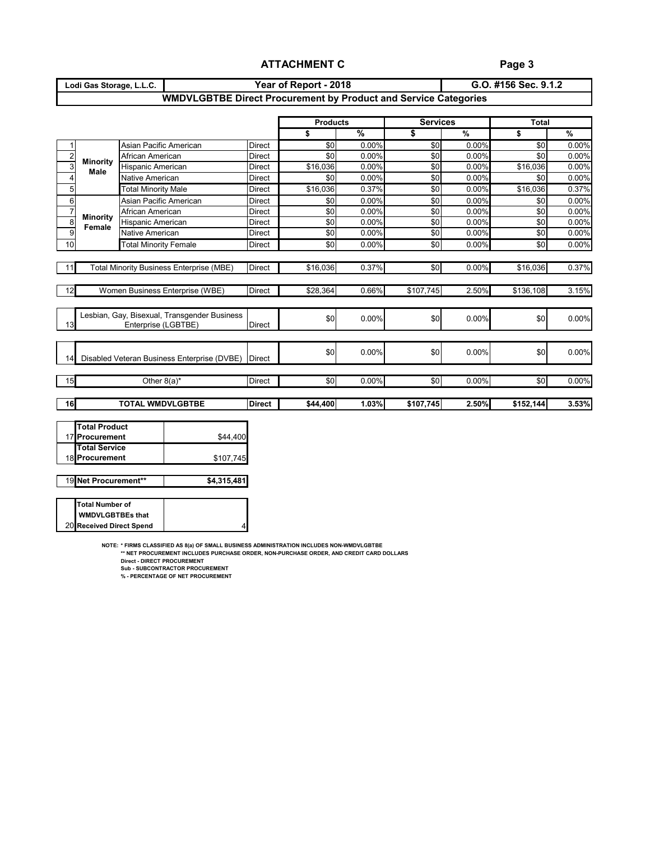**Page 3**

| Lodi Gas Storage, L.L.C.                                               | Year of Report - 2018 | G.O. #156 Sec. 9.1.2 |  |  |  |  |  |  |  |  |
|------------------------------------------------------------------------|-----------------------|----------------------|--|--|--|--|--|--|--|--|
| <b>WMDVLGBTBE Direct Procurement by Product and Service Categories</b> |                       |                      |  |  |  |  |  |  |  |  |

| \$<br>\$0<br>\$0<br>\$16,036 | $\frac{9}{6}$<br>$0.00\%$<br>0.00% | \$            | %         |           |               |
|------------------------------|------------------------------------|---------------|-----------|-----------|---------------|
|                              |                                    |               |           | \$        | $\frac{9}{6}$ |
|                              |                                    | \$0           | 0.00%     | \$0       | 0.00%         |
|                              |                                    | \$0           | 0.00%     | \$0       | 0.00%         |
|                              | 0.00%                              | \$0           | 0.00%     | \$16,036  | 0.00%         |
| \$0                          | $0.00\%$                           | \$0           | 0.00%     | \$0       | 0.00%         |
| \$16,036                     | 0.37%                              | \$0           | 0.00%     | \$16,036  | 0.37%         |
| \$0                          | $0.00\%$                           | \$0           | 0.00%     | \$0       | 0.00%         |
| \$0                          | 0.00%                              | \$0           | 0.00%     | \$0       | 0.00%         |
| \$0                          | 0.00%                              | \$0           | 0.00%     | \$0       | 0.00%         |
| \$0                          | 0.00%                              | \$0           | 0.00%     | \$0       | 0.00%         |
| \$0                          | 0.00%                              | \$0           | 0.00%     | \$0       | 0.00%         |
|                              |                                    |               |           |           |               |
| \$16,036                     | 0.37%                              | $\frac{1}{6}$ | 0.00%     | \$16,036  | 0.37%         |
|                              |                                    |               |           |           |               |
| \$28,364                     | 0.66%                              | \$107,745     | 2.50%     | \$136,108 | 3.15%         |
|                              |                                    |               |           |           |               |
| \$0                          | 0.00%                              | \$0           | 0.00%     | \$0       | 0.00%         |
|                              |                                    |               |           |           |               |
|                              |                                    |               |           |           |               |
| \$0                          | 0.00%                              | \$0           | 0.00%     | \$0       | 0.00%         |
|                              |                                    |               |           |           |               |
|                              |                                    |               |           |           |               |
| \$0                          | 0.00%                              | \$0           | 0.00%     | \$0       | 0.00%         |
|                              |                                    |               |           |           | 3.53%         |
|                              |                                    |               |           |           |               |
|                              | \$44,400                           | 1.03%         | \$107,745 | 2.50%     | \$152,144     |

| <b>Hotal Product</b> |           |
|----------------------|-----------|
| 17 Procurement       | \$44,400  |
| <b>Total Service</b> |           |
| 18 Procurement       | \$107,745 |
|                      |           |

| 19 Net Procurement** | \$4,315,481 |
|----------------------|-------------|
|----------------------|-------------|

| <b>Total Number of</b>   |  |
|--------------------------|--|
| <b>WMDVLGBTBEs that</b>  |  |
| 20 Received Direct Spend |  |

**NOTE: \* FIRMS CLASSIFIED AS 8(a) OF SMALL BUSINESS ADMINISTRATION INCLUDES NON-WMDVLGBTBE**

4

**\*\* NET PROCUREMENT INCLUDES PURCHASE ORDER, NON-PURCHASE ORDER, AND CREDIT CARD DOLLARS**

**Direct - DIRECT PROCUREMENT Sub - SUBCONTRACTOR PROCUREMENT**

**% - PERCENTAGE OF NET PROCUREMENT**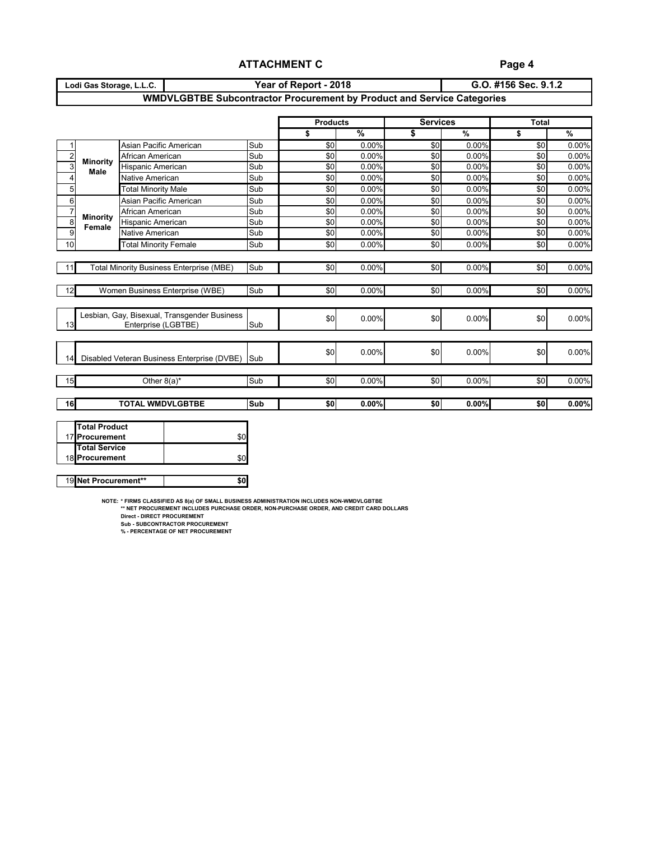# **Page 4**

| Lodi Gas Storage, L.L.C. | Year of Report - 2018                                                         | G.O. #156 Sec. 9.1.2 |
|--------------------------|-------------------------------------------------------------------------------|----------------------|
|                          | <b>WMDVLGBTBE Subcontractor Procurement by Product and Service Categories</b> |                      |

|                |                                                                |                                                                     |            | <b>Products</b> |               | <b>Services</b> |               | <b>Total</b> |               |
|----------------|----------------------------------------------------------------|---------------------------------------------------------------------|------------|-----------------|---------------|-----------------|---------------|--------------|---------------|
|                |                                                                |                                                                     |            | \$              | $\frac{9}{6}$ | \$              | $\frac{9}{6}$ | \$           | $\frac{9}{6}$ |
|                |                                                                | Asian Pacific American                                              | Sub        | \$0             | 0.00%         | \$0             | 0.00%         | \$0          | 0.00%         |
| $\overline{c}$ |                                                                | Sub<br>African American<br>Sub<br>Hispanic American                 |            | \$0             | 0.00%         | \$0             | 0.00%         | \$0          | 0.00%         |
| 3              | <b>Minority</b><br><b>Male</b>                                 |                                                                     |            | \$0             | 0.00%         | \$0             | 0.00%         | \$0          | 0.00%         |
| $\overline{4}$ |                                                                | Native American                                                     | Sub        | $\sqrt{6}$      | 0.00%         | $\sqrt{6}$      | 0.00%         | \$0          | 0.00%         |
| $\overline{5}$ |                                                                | <b>Total Minority Male</b>                                          | Sub        | \$0             | 0.00%         | \$0             | 0.00%         | \$0          | 0.00%         |
| $\,6\,$        |                                                                | Asian Pacific American                                              | Sub        | $\sqrt{6}$      | 0.00%         | \$0             | 0.00%         | \$0          | 0.00%         |
| $\overline{7}$ |                                                                | African American                                                    | Sub        | \$0             | 0.00%         | \$0             | 0.00%         | \$0          | 0.00%         |
| 8              | <b>Minority</b><br>Female                                      | Hispanic American                                                   | Sub        | \$0             | 0.00%         | \$0             | 0.00%         | \$0          | 0.00%         |
| 9              |                                                                | <b>Native American</b>                                              | Sub        | \$0             | 0.00%         | \$0             | 0.00%         | \$0          | 0.00%         |
| 10             |                                                                | <b>Total Minority Female</b>                                        | Sub        | \$0             | 0.00%         | \$0             | 0.00%         | \$0          | 0.00%         |
|                | <b>Total Minority Business Enterprise (MBE)</b><br>11          |                                                                     | Sub        | \$0             | 0.00%         | \$0             | 0.00%         | \$0          | 0.00%         |
| 12             |                                                                | Women Business Enterprise (WBE)                                     | Sub        | \$0             | 0.00%         | \$0             | 0.00%         | \$0          | 0.00%         |
| 13             |                                                                | Lesbian, Gay, Bisexual, Transgender Business<br>Enterprise (LGBTBE) | Sub        | \$0             | 0.00%         | \$0             | 0.00%         | \$0          | 0.00%         |
| 14             |                                                                | Disabled Veteran Business Enterprise (DVBE)                         | <b>Sub</b> | \$0             | 0.00%         | \$0             | 0.00%         | \$0          | 0.00%         |
| 15             |                                                                | Other $8(a)^*$                                                      | Sub        | $\frac{6}{3}$   | 0.00%         | \$0             | $0.00\%$      | \$0          | 0.00%         |
| 16             |                                                                | <b>TOTAL WMDVLGBTBE</b>                                             | <b>Sub</b> | \$0             | 0.00%         | \$0             | 0.00%         | \$0          | 0.00%         |
|                | <b>Total Product</b><br>17 Procurement<br><b>Total Service</b> | \$0                                                                 |            |                 |               |                 |               |              |               |

19 **Net Procurement\*\* 19 19 19 19 19 19** 

18 **Procurement** 18 **Procurement** 

**NOTE: \* FIRMS CLASSIFIED AS 8(a) OF SMALL BUSINESS ADMINISTRATION INCLUDES NON-WMDVLGBTBE**

**\*\* NET PROCUREMENT INCLUDES PURCHASE ORDER, NON-PURCHASE ORDER, AND CREDIT CARD DOLLARS**

**Direct - DIRECT PROCUREMENT**

**Sub - SUBCONTRACTOR PROCUREMENT % - PERCENTAGE OF NET PROCUREMENT**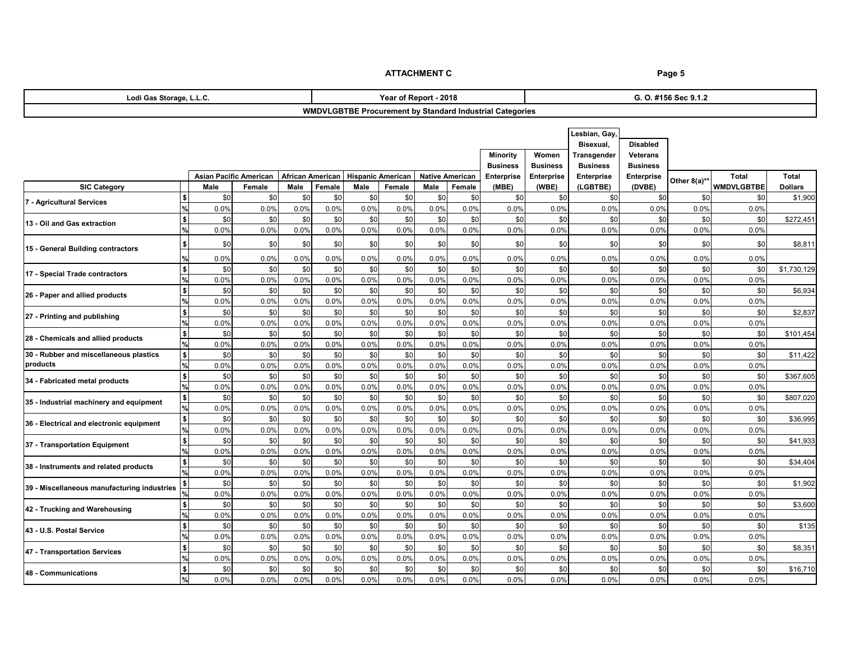| Lodi Gas Storage, L.L.C.                              |                          |             |                               |                         | Year of Report - 2018 |                          |             |                        |             |                                                                 |                   | G. O. #156 Sec 9.1.2 |                   |              |                   |                |  |
|-------------------------------------------------------|--------------------------|-------------|-------------------------------|-------------------------|-----------------------|--------------------------|-------------|------------------------|-------------|-----------------------------------------------------------------|-------------------|----------------------|-------------------|--------------|-------------------|----------------|--|
|                                                       |                          |             |                               |                         |                       |                          |             |                        |             | <b>WMDVLGBTBE Procurement by Standard Industrial Categories</b> |                   |                      |                   |              |                   |                |  |
|                                                       |                          |             |                               |                         |                       |                          |             |                        |             |                                                                 |                   |                      |                   |              |                   |                |  |
|                                                       |                          |             |                               |                         |                       |                          |             |                        |             |                                                                 |                   | Lesbian, Gay,        |                   |              |                   |                |  |
|                                                       |                          |             |                               |                         |                       |                          |             |                        |             |                                                                 |                   | Bisexual,            | <b>Disabled</b>   |              |                   |                |  |
|                                                       |                          |             |                               |                         |                       |                          |             |                        |             | <b>Minority</b>                                                 | Women             | <b>Transgender</b>   | <b>Veterans</b>   |              |                   |                |  |
| <b>Business</b><br><b>Business</b><br><b>Business</b> |                          |             |                               |                         |                       |                          |             |                        |             |                                                                 |                   | <b>Business</b>      |                   |              |                   |                |  |
|                                                       |                          |             | <b>Asian Pacific American</b> | <b>African American</b> |                       | <b>Hispanic American</b> |             | <b>Native American</b> |             | <b>Enterprise</b>                                               | <b>Enterprise</b> | <b>Enterprise</b>    | <b>Enterprise</b> | Other 8(a)** | <b>Total</b>      | <b>Total</b>   |  |
| <b>SIC Category</b>                                   |                          | <b>Male</b> | Female                        | <b>Male</b>             | Female                | <b>Male</b>              | Female      | <b>Male</b>            | Female      | (MBE)                                                           | (WBE)             | (LGBTBE)             | (DVBE)            |              | <b>WMDVLGBTBE</b> | <b>Dollars</b> |  |
| 7 - Agricultural Services                             |                          | \$0         | \$0                           | \$0                     | \$0                   | \$0                      | \$0         | \$0                    | \$0         | \$0                                                             | \$0               | \$0                  | \$0               | \$0          | \$0               | \$1,900        |  |
|                                                       |                          | 0.0%        | 0.0%                          | 0.0%                    | 0.0%                  | 0.0%                     | 0.0%        | 0.0%                   | 0.0%        | 0.0%                                                            | 0.0%              | 0.0%                 | 0.0%              | 0.0%         | 0.0%              |                |  |
| 13 - Oil and Gas extraction                           | \$                       | \$0         | \$0                           | \$0                     | \$0                   | \$0                      | \$0         | \$0                    | \$0         | \$0                                                             | \$0               | \$0                  | \$0               | \$0          | \$0               | \$272,451      |  |
|                                                       |                          | 0.0%        | 0.0%                          | 0.0%                    | 0.0%                  | 0.0%                     | 0.0%        | 0.0%                   | 0.0%        | 0.0%                                                            | 0.0%              | 0.0%                 | 0.0%              | 0.0%         | 0.0%              |                |  |
| 15 - General Building contractors                     |                          | \$0         | \$0                           | \$0                     | \$0                   | \$0                      | \$0         | \$0                    | \$0         | \$C                                                             | \$0               | \$0                  | \$0               | \$0          | \$0               | \$8,811        |  |
|                                                       |                          | 0.0%        | 0.0%                          | 0.0%                    | 0.0%                  | 0.0%                     | 0.0%        | 0.0%                   | 0.0%        | 0.0%                                                            | 0.0%              | 0.0%                 | 0.0%              | 0.0%         | 0.0%              |                |  |
| 17 - Special Trade contractors                        |                          | \$0         | \$0                           | \$0                     | \$0                   | \$0                      | \$0         | \$0                    | \$0         | \$0                                                             | \$0               | \$0                  | \$0               | \$0          | \$0               | \$1,730,129    |  |
|                                                       |                          | 0.0%        | 0.0%                          | 0.0%                    | 0.0%                  | 0.0%                     | 0.0%        | 0.0%                   | 0.0%        | 0.0%                                                            | 0.0%              | 0.0%                 | 0.0%              | 0.0%         | 0.0%              |                |  |
| 26 - Paper and allied products                        |                          | \$0         | \$0                           | \$0                     | \$0                   | \$0                      | \$0         | \$0                    | \$0         | \$0                                                             | \$0               | \$0                  | \$0               | \$0          | \$0               | \$6,934        |  |
|                                                       |                          | 0.0%        | 0.0%                          | 0.0%                    | 0.0%                  | 0.0%                     | 0.0%        | 0.0%                   | 0.0%        | 0.0%                                                            | 0.0%              | 0.0%                 | 0.0%              | 0.0%         | 0.0%              |                |  |
| 27 - Printing and publishing                          | \$                       | \$0         | \$0                           | \$0                     | \$0                   | \$0                      | \$0         | \$0                    | \$0         | \$0                                                             | \$0               | \$0                  | \$0               | \$0          | \$0               | \$2,837        |  |
|                                                       |                          | 0.0%        | 0.0%                          | 0.0%                    | 0.0%                  | 0.0%                     | 0.0%        | 0.0%                   | 0.0%        | 0.0%                                                            | 0.0%              | 0.0%                 | 0.0%              | 0.0%         | 0.0%              |                |  |
| 28 - Chemicals and allied products                    | \$                       | \$0         | \$0                           | \$0                     | \$0                   | \$0                      | \$0         | \$0                    | \$0         | \$0                                                             | \$0               | \$0                  | \$0               | \$0          | \$0               | \$101,454      |  |
|                                                       | %                        | 0.0%        | 0.0%                          | 0.0%                    | 0.0%                  | 0.0%                     | 0.0%        | 0.0%                   | 0.0%        | 0.0%                                                            | 0.0%              | 0.0%                 | 0.0%              | 0.0%         | 0.0%              |                |  |
| 30 - Rubber and miscellaneous plastics                | \$                       | \$0         | \$0                           | \$0                     | \$0                   | \$0                      | \$0         | \$0                    | \$0         | \$0                                                             | \$0               | \$0                  | \$0               | \$0          | \$0               | \$11,422       |  |
| products                                              |                          | 0.0%        | 0.0%                          | 0.0%                    | 0.0%                  | 0.0%                     | 0.0%        | 0.0%                   | 0.0%        | 0.0%                                                            | 0.0%              | 0.0%                 | 0.0%              | 0.0%         | 0.0%              |                |  |
| 34 - Fabricated metal products                        |                          | \$0         | \$0                           | \$0                     | \$0                   | \$0                      | \$0         | \$0                    | \$0         | \$0                                                             | \$0               | \$0                  | \$0               | \$0          | \$0               | \$367,605      |  |
|                                                       |                          | 0.0%        | 0.0%                          | 0.0%                    | 0.0%                  | 0.0%                     | 0.0%        | 0.0%                   | 0.0%        | 0.0%                                                            | 0.0%              | 0.0%                 | 0.0%              | 0.0%         | 0.0%              |                |  |
| 35 - Industrial machinery and equipment               | \$                       | \$0         | \$0                           | \$0                     | \$0                   | \$0                      | \$0         | \$0                    | \$0         | \$0                                                             | \$0               | \$0                  | \$0               | \$0          | \$0               | \$807,020      |  |
|                                                       | l%l                      | 0.0%        | 0.0%                          | 0.0%                    | 0.0%                  | 0.0%                     | 0.0%        | 0.0%                   | 0.0%        | 0.0%                                                            | 0.0%              | 0.0%                 | 0.0%              | 0.0%         | 0.0%              |                |  |
| 36 - Electrical and electronic equipment              | $\vert \mathsf{s} \vert$ | \$0         | \$0                           | \$0                     | \$0                   | \$0                      | \$0         | \$0                    | \$0         | \$0                                                             | \$0               | \$0                  | \$0               | \$0          | \$0               | \$36,995       |  |
|                                                       | $\frac{1}{2}$            | 0.0%        | 0.0%                          | 0.0%                    | 0.0%                  | 0.0%                     | 0.0%        | 0.0%                   | 0.0%        | 0.0%                                                            | 0.0%              | 0.0%                 | 0.0%              | 0.0%         | 0.0%              |                |  |
| 37 - Transportation Equipment                         | \$                       | \$0         | \$0                           | \$0                     | \$0                   | \$0                      | \$0         | \$0                    | \$0         | \$0                                                             | \$0               | \$0                  | \$0               | \$0          | \$0               | \$41,933       |  |
|                                                       |                          | 0.0%<br>\$0 | 0.0%<br>\$0                   | 0.0%<br>\$0             | 0.0%<br>\$0           | 0.0%<br>\$0              | 0.0%<br>\$0 | 0.0%<br>\$0            | 0.0%<br>\$0 | 0.0%<br>\$0                                                     | 0.0%<br>\$0       | 0.0%<br>\$0          | 0.0%              | 0.0%         | 0.0%<br>\$0       |                |  |
| 38 - Instruments and related products                 | \$                       | 0.0%        | 0.0%                          | 0.0%                    | 0.0%                  | 0.0%                     | 0.0%        | 0.0%                   | 0.0%        |                                                                 | 0.0%              | 0.0%                 | \$0               | \$0<br>0.0%  |                   | \$34,404       |  |
|                                                       |                          | \$0         | \$0                           | \$0                     | \$0                   | \$0                      | \$0         | \$0                    | \$0         | 0.0%<br>\$0                                                     | \$0               | \$0                  | 0.0%              | \$0          | 0.0%<br>\$0       |                |  |
| 39 - Miscellaneous manufacturing industries           |                          | 0.0%        | 0.0%                          | 0.0%                    | 0.0%                  | 0.0%                     | 0.0%        | 0.0%                   | 0.0%        | 0.0%                                                            | 0.0%              | 0.0%                 | \$0<br>0.0%       | 0.0%         | 0.0%              | \$1,902        |  |
|                                                       |                          | \$0         | \$0                           | \$0                     | \$0                   | \$0                      | \$0         | \$0                    | \$0         | \$0                                                             | \$0               | \$0                  | \$0               | \$0          | \$0               | \$3,600        |  |
| 42 - Trucking and Warehousing                         | \$                       | 0.0%        | 0.0%                          | 0.0%                    | 0.0%                  | 0.0%                     | 0.0%        | 0.0%                   | 0.0%        | 0.0%                                                            | 0.0%              | 0.0%                 | 0.0%              | 0.0%         | 0.0%              |                |  |
|                                                       | \$                       | \$0         | \$0                           | \$0                     | \$0                   | \$0                      | \$0         | \$0                    | \$0         | \$0                                                             | \$0               | \$0                  | \$0               | \$0          | \$0               | \$135          |  |
| 43 - U.S. Postal Service                              |                          | 0.0%        | 0.0%                          | 0.0%                    | 0.0%                  | 0.0%                     | 0.0%        | 0.0%                   | 0.0%        | 0.0%                                                            | 0.0%              | 0.0%                 | 0.0%              | 0.0%         | 0.0%              |                |  |
|                                                       | l \$                     | \$0         | \$0                           | \$0                     | \$0                   | \$0                      | \$0         | \$0                    | \$0         | \$0                                                             | \$0               | \$0                  | \$0               | \$0          | \$0               | \$8,351        |  |
| 47 - Transportation Services                          |                          | 0.0%        | 0.0%                          | 0.0%                    | 0.0%                  | 0.0%                     | 0.0%        | 0.0%                   | 0.0%        | 0.0%                                                            | 0.0%              | 0.0%                 | 0.0%              | 0.0%         | 0.0%              |                |  |
|                                                       | \$                       | \$0         | \$0                           | \$0                     | \$0                   | \$0                      | \$0         | \$0                    | \$0         | \$0                                                             | \$0               | \$0                  | \$0               | \$0          | \$0               | \$16,710       |  |
| 48 - Communications                                   |                          | 0.0%        | 0.0%                          | 0.0%                    | 0.0%                  | 0.0%                     | 0.0%        | 0.0%                   | 0.0%        | 0.0%                                                            | 0.0%              | 0.0%                 | 0.0%              | 0.0%         | 0.0%              |                |  |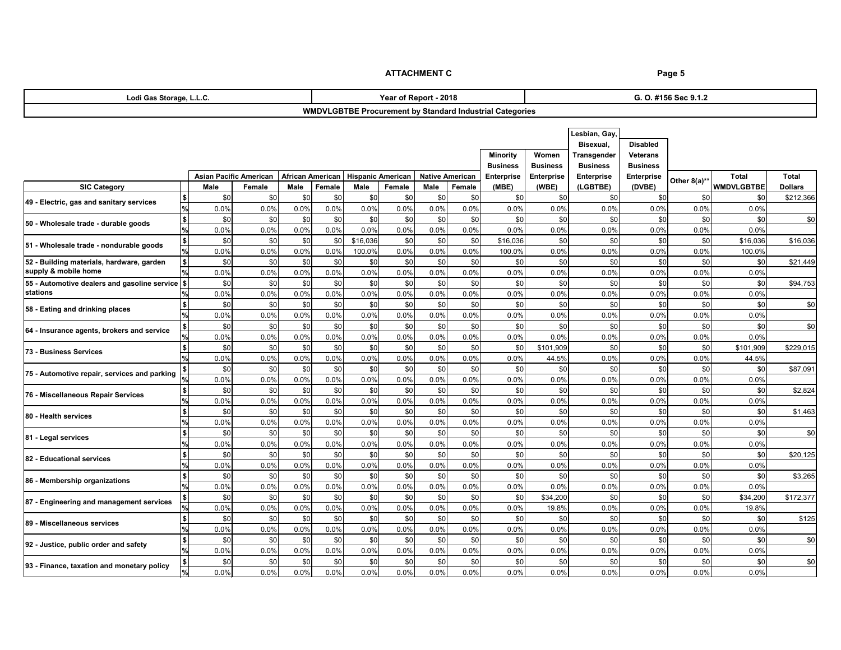| Lodi Gas Storage, L.L.C.                                               |                                                       |             |                               |                         |             |                          | Year of Report - 2018 |                        |             |                                                                 | G. O. #156 Sec 9.1.2 |                   |                   |              |                   |                |
|------------------------------------------------------------------------|-------------------------------------------------------|-------------|-------------------------------|-------------------------|-------------|--------------------------|-----------------------|------------------------|-------------|-----------------------------------------------------------------|----------------------|-------------------|-------------------|--------------|-------------------|----------------|
|                                                                        |                                                       |             |                               |                         |             |                          |                       |                        |             | <b>WMDVLGBTBE Procurement by Standard Industrial Categories</b> |                      |                   |                   |              |                   |                |
|                                                                        |                                                       |             |                               |                         |             |                          |                       |                        |             |                                                                 |                      |                   |                   |              |                   |                |
| Lesbian, Gay,                                                          |                                                       |             |                               |                         |             |                          |                       |                        |             |                                                                 |                      |                   |                   |              |                   |                |
|                                                                        |                                                       |             |                               |                         |             |                          |                       |                        |             |                                                                 |                      | Bisexual,         | <b>Disabled</b>   |              |                   |                |
|                                                                        |                                                       |             |                               |                         |             |                          |                       |                        |             | <b>Minority</b>                                                 | Women                | Transgender       | <b>Veterans</b>   |              |                   |                |
|                                                                        | <b>Business</b><br><b>Business</b><br><b>Business</b> |             |                               |                         |             |                          |                       |                        |             |                                                                 |                      |                   | <b>Business</b>   |              |                   |                |
|                                                                        |                                                       |             | <b>Asian Pacific American</b> | <b>African American</b> |             | <b>Hispanic American</b> |                       | <b>Native American</b> |             | <b>Enterprise</b>                                               | <b>Enterprise</b>    | <b>Enterprise</b> | <b>Enterprise</b> | Other 8(a)** | <b>Total</b>      | <b>Total</b>   |
| <b>SIC Category</b>                                                    |                                                       | <b>Male</b> | Female                        | <b>Male</b>             | Female      | <b>Male</b>              | Female                | <b>Male</b>            | Female      | (MBE)                                                           | (WBE)                | (LGBTBE)          | (DVBE)            |              | <b>WMDVLGBTBE</b> | <b>Dollars</b> |
| 49 - Electric, gas and sanitary services                               |                                                       | \$0         | \$0                           | \$0                     | \$0         | \$0                      | \$0                   | \$0                    | \$0         | \$C                                                             | \$0                  | \$0               | \$0               | \$0          | \$0               | \$212,366      |
|                                                                        |                                                       | 0.0%        | 0.0%                          | 0.0%                    | 0.0%        | 0.0%                     | 0.0%                  | 0.0%                   | 0.0%        | 0.0%                                                            | 0.0%                 | 0.0%              | 0.0%              | 0.0%         | 0.0%              |                |
| 50 - Wholesale trade - durable goods                                   | \$                                                    | \$0         | \$0                           | \$0                     | \$0         | \$0                      | \$0                   | \$0                    | \$0         | \$C                                                             | \$0                  | \$0               | \$0               | \$0          | \$0               | \$0            |
|                                                                        | $\frac{9}{6}$                                         | 0.0%        | 0.0%                          | 0.0%                    | 0.0%        | 0.0%                     | 0.0%                  | 0.0%                   | 0.0%        | 0.0%                                                            | 0.0%                 | 0.0%              | 0.0%              | 0.0%         | 0.0%              |                |
| 51 - Wholesale trade - nondurable goods                                | \$                                                    | \$0         | \$0                           | \$0                     | \$0         | \$16,036                 | \$0                   | \$0                    | \$0         | \$16,036                                                        | \$0                  | \$0               | \$0               | \$0          | \$16,036          | \$16,036       |
|                                                                        |                                                       | 0.0%        | 0.0%                          | 0.0%                    | 0.0%        | 100.0%                   | 0.0%                  | 0.0%                   | 0.0%        | 100.0%                                                          | 0.0%                 | 0.0%              | 0.0%              | 0.0%         | 100.0%            |                |
| 52 - Building materials, hardware, garden<br>supply & mobile home      |                                                       | \$0         | \$0                           | \$0                     | \$0         | \$0                      | \$0                   | \$0                    | \$0         | \$C                                                             | \$0                  | \$0               | \$0               | \$0          | \$0               | \$21,449       |
|                                                                        |                                                       | 0.0%        | 0.0%                          | 0.0%                    | 0.0%        | 0.0%                     | 0.0%                  | 0.0%                   | 0.0%        | 0.0%                                                            | 0.0%                 | 0.0%              | 0.0%              | 0.0%         | 0.0%              |                |
| 55 - Automotive dealers and gasoline service $\frac{1}{2}$<br>stations |                                                       | \$0         | \$0                           | \$0                     | \$0         | \$0                      | \$0                   | \$0                    | \$0         | \$0                                                             | \$0                  | \$0               | \$0               | \$0          | \$0               | \$94,753       |
|                                                                        |                                                       | 0.0%        | 0.0%                          | 0.0%                    | 0.0%        | 0.0%                     | 0.0%                  | 0.0%                   | 0.0%        | 0.0%                                                            | 0.0%                 | 0.0%              | 0.0%              | 0.0%         | 0.0%              |                |
| 58 - Eating and drinking places                                        |                                                       | \$0         | \$0                           | \$0                     | \$0         | \$0                      | \$0                   | \$0                    | \$0         | \$0                                                             | \$0                  | \$0               | \$0               | \$0          | \$0               | \$0            |
|                                                                        |                                                       | 0.0%        | 0.0%                          | 0.0%                    | 0.0%        | 0.0%                     | 0.0%                  | 0.0%<br>\$0            | 0.0%<br>\$0 | 0.0%                                                            | 0.0%                 | 0.0%              | 0.0%              | 0.0%         | 0.0%              |                |
| 64 - Insurance agents, brokers and service                             |                                                       | \$0<br>0.0% | \$0<br>0.0%                   | \$0<br>0.0%             | \$0<br>0.0% | \$0<br>0.0%              | \$0                   | 0.0%                   | 0.0%        | \$C<br>0.0%                                                     | \$0<br>0.0%          | \$0<br>0.0%       | \$0               | \$0<br>0.0%  | \$0<br>0.0%       | \$0            |
|                                                                        |                                                       | \$0         | \$0                           | \$0                     | \$0         | \$0                      | 0.0%<br>\$0           | \$0                    | \$0         | \$C                                                             | \$101,909            | \$0               | 0.0%<br>\$0       | \$0          | \$101,909         | \$229,015      |
| 73 - Business Services                                                 |                                                       | 0.0%        | 0.0%                          | 0.0%                    | 0.0%        | 0.0%                     | 0.0%                  | 0.0%                   | 0.0%        | 0.0%                                                            | 44.5%                | 0.0%              | 0.0%              | 0.0%         | 44.5%             |                |
|                                                                        |                                                       | \$0         | \$0                           | \$0                     | \$0         | \$0                      | \$0                   | \$0                    | \$0         | \$0                                                             | \$0                  | \$0               | \$0               | \$0          | \$0               | \$87,091       |
| 75 - Automotive repair, services and parking                           |                                                       | 0.0%        | 0.0%                          | 0.0%                    | 0.0%        | 0.0%                     | 0.0%                  | 0.0%                   | 0.0%        | 0.0%                                                            | 0.0%                 | 0.0%              | 0.0%              | 0.0%         | 0.0%              |                |
|                                                                        |                                                       | \$0         | \$0                           | \$0                     | \$0         | \$0                      | \$0                   | \$0                    | \$0         | \$0                                                             | \$0                  | \$0               | \$0               | \$0          | \$0               | \$2,824        |
| 76 - Miscellaneous Repair Services                                     |                                                       | 0.0%        | 0.0%                          | 0.0%                    | 0.0%        | 0.0%                     | 0.0%                  | 0.0%                   | 0.0%        | 0.0%                                                            | 0.0%                 | 0.0%              | 0.0%              | $0.0\%$      | 0.0%              |                |
|                                                                        | <u>\$</u>                                             | \$0]        | \$0                           | \$0                     | \$0         | \$0                      | \$0                   | \$0                    | \$0         | \$0                                                             | \$0                  | \$0               | \$0               | \$0          | \$0               | \$1,463        |
| 80 - Health services                                                   | $\sqrt{2}$                                            | 0.0%        | 0.0%                          | 0.0%                    | 0.0%        | 0.0%                     | 0.0%                  | 0.0%                   | 0.0%        | 0.0%                                                            | 0.0%                 | 0.0%              | 0.0%              | 0.0%         | 0.0%              |                |
|                                                                        | \$                                                    | \$0         | \$0                           | \$0                     | \$0         | \$0                      | \$0                   | \$0                    | \$0         | \$0                                                             | \$0                  | \$0               | \$0               | \$0          | \$0               | \$0            |
| 81 - Legal services                                                    |                                                       | 0.0%        | 0.0%                          | 0.0%                    | 0.0%        | 0.0%                     | 0.0%                  | 0.0%                   | 0.0%        | 0.0%                                                            | 0.0%                 | 0.0%              | 0.0%              | 0.0%         | 0.0%              |                |
|                                                                        | \$                                                    | \$0         | \$0                           | \$0                     | \$0         | \$0                      | \$0                   | \$0                    | \$0         | \$0                                                             | \$0                  | \$0               | \$0               | \$0          | \$0               | \$20,125       |
| 82 - Educational services                                              |                                                       | 0.0%        | 0.0%                          | 0.0%                    | 0.0%        | 0.0%                     | 0.0%                  | 0.0%                   | 0.0%        | 0.0%                                                            | 0.0%                 | 0.0%              | 0.0%              | 0.0%         | 0.0%              |                |
|                                                                        |                                                       | \$0         | \$0                           | \$0                     | \$0         | \$0                      | \$0                   | \$0                    | \$0         | \$0                                                             | \$0                  | \$0               | \$0               | \$0          | \$0               | \$3,265        |
| 86 - Membership organizations                                          |                                                       | 0.0%        | 0.0%                          | 0.0%                    | 0.0%        | 0.0%                     | 0.0%                  | 0.0%                   | 0.0%        | 0.0%                                                            | 0.0%                 | 0.0%              | 0.0%              | 0.0%         | 0.0%              |                |
|                                                                        |                                                       | \$0         | \$0                           | \$0                     | \$0         | \$0                      | \$0                   | \$0                    | \$0         | \$0                                                             | \$34,200             | \$0               | \$0               | \$0          | \$34,200          | \$172,377      |
| 87 - Engineering and management services                               |                                                       | 0.0%        | 0.0%                          | 0.0%                    | 0.0%        | 0.0%                     | 0.0%                  | 0.0%                   | 0.0%        | 0.0%                                                            | 19.8%                | 0.0%              | 0.0%              | 0.0%         | 19.8%             |                |
| 89 - Miscellaneous services                                            |                                                       | \$0         | \$0                           | \$0                     | \$0         | \$0                      | \$0                   | \$0                    | \$0         | \$0                                                             | \$0                  | \$0               | \$0               | \$0          | \$0               | \$125          |
|                                                                        |                                                       | 0.0%        | 0.0%                          | 0.0%                    | 0.0%        | 0.0%                     | 0.0%                  | 0.0%                   | 0.0%        | 0.0%                                                            | 0.0%                 | 0.0%              | 0.0%              | 0.0%         | 0.0%              |                |
| 92 - Justice, public order and safety                                  |                                                       | \$0         | \$0                           | \$0                     | \$0         | \$0                      | \$0                   | \$0                    | \$0         | \$0                                                             | \$0                  | \$0               | \$0               | \$0          | \$0               | \$0            |
|                                                                        |                                                       | 0.0%        | 0.0%                          | 0.0%                    | 0.0%        | 0.0%                     | 0.0%                  | 0.0%                   | 0.0%        | 0.0%                                                            | 0.0%                 | 0.0%              | 0.0%              | 0.0%         | 0.0%              |                |
| [93 - Finance, taxation and monetary policy                            |                                                       | \$0         | \$0                           | \$0                     | \$0         | \$0                      | \$0                   | \$0                    | \$0         | \$0                                                             | \$0                  | \$0               | \$0               | \$0          | \$0               | \$0            |
|                                                                        |                                                       | 0.0%        | 0.0%                          | 0.0%                    | 0.0%        | 0.0%                     | 0.0%                  | 0.0%                   | 0.0%        | 0.0%                                                            | 0.0%                 | 0.0%              | 0.0%              | 0.0%         | 0.0%              |                |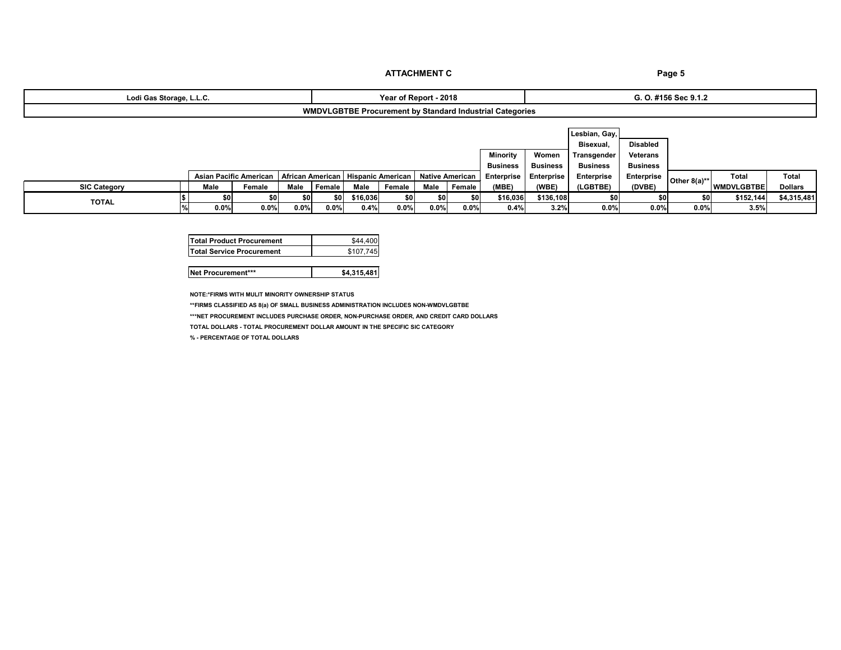| i Gas Storage. L.L.C.<br>Lodi | 2018<br>Renor                                                                   |  |
|-------------------------------|---------------------------------------------------------------------------------|--|
| WM                            | וער<br>l Categories<br><b>Standard Industrial</b><br>. Procurement by<br>56 LBE |  |

### **G. O. #156 Sec 9.1.2**

|                     |  |      |                                           |      |             |                   |        |      |                 |                   |                 | Lesbian, Gay,     |                   |                 |                   |                |
|---------------------|--|------|-------------------------------------------|------|-------------|-------------------|--------|------|-----------------|-------------------|-----------------|-------------------|-------------------|-----------------|-------------------|----------------|
|                     |  |      |                                           |      |             |                   |        |      |                 |                   |                 | Bisexual,         | <b>Disabled</b>   |                 |                   |                |
|                     |  |      |                                           |      |             |                   |        |      |                 | Minority          | Women           | Transgender       | <b>Veterans</b>   |                 |                   |                |
|                     |  |      |                                           |      |             |                   |        |      |                 | <b>Business</b>   | <b>Business</b> | <b>Business</b>   | <b>Business</b>   |                 |                   |                |
|                     |  |      | Asian Pacific American   African American |      |             | Hispanic American |        |      | Native American | <b>Enterprise</b> | Enterprise      | <b>Enterprise</b> | <b>Enterprise</b> | Other $8(a)$ ** | Total             | <b>Total</b>   |
| <b>SIC Category</b> |  | Male | Female                                    | Male | Female      | Male              | Female | Male | Female          | (MBE)             | (WBE)           | <b>LGBTBE)</b>    | (DVBE)            |                 | <b>WMDVLGBTBE</b> | <b>Dollars</b> |
|                     |  |      |                                           |      | <b>\$01</b> | \$16,036          | \$0    |      | \$0             | \$16,036          | \$136,108       | \$0               | \$0               | \$0             | \$152,144         | \$4,315,481    |
| <b>TOTAL</b>        |  | 0.0% | 0.0%                                      | 0.0% | $0.0\%$     | 0.4%              | 0.0%   | 0.0% | 0.0%            | 0.4%              | 3.2%            | 0.0%              | $0.0\%$           | $0.0\%$         | 3.5%              |                |

**NOTE:\*FIRMS WITH MULIT MINORITY OWNERSHIP STATUS**

**\*\*FIRMS CLASSIFIED AS 8(a) OF SMALL BUSINESS ADMINISTRATION INCLUDES NON-WMDVLGBTBE**

**\*\*\*NET PROCUREMENT INCLUDES PURCHASE ORDER, NON-PURCHASE ORDER, AND CREDIT CARD DOLLARS**

**TOTAL DOLLARS - TOTAL PROCUREMENT DOLLAR AMOUNT IN THE SPECIFIC SIC CATEGORY** 

**% - PERCENTAGE OF TOTAL DOLLARS**

| <b>Total Product Procurement</b> | \$44.400  |
|----------------------------------|-----------|
| <b>Total Service Procurement</b> | \$107.745 |

**Net Procurement\*\*\* \$4,315,481**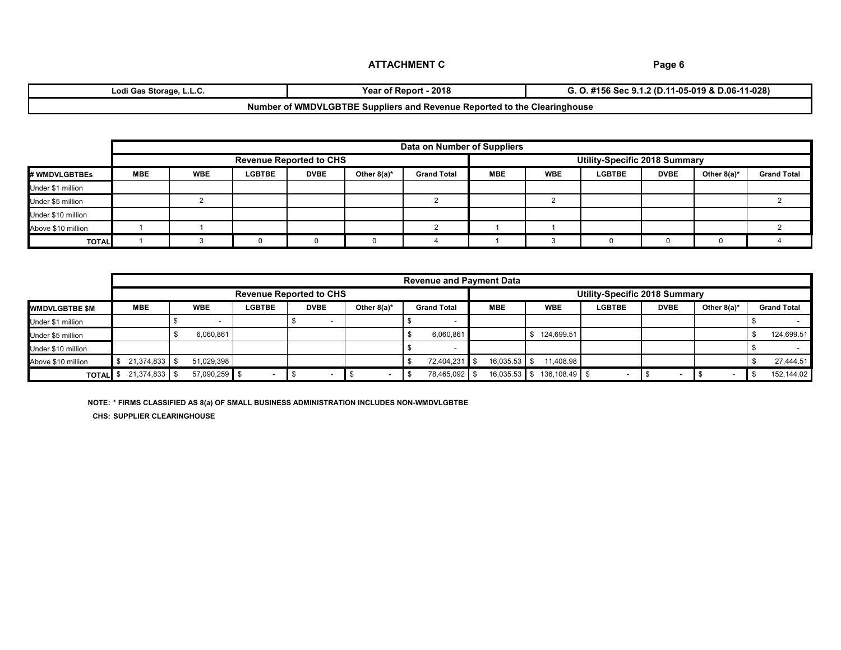| Storage<br>Lodi Gas<br>·∟.∟.∪.                                           | 2018<br>reaı<br>* of Report | $-11-028$<br>$1 - 05 - 019$ & D.06-11<br>.2 (D.11<br>i Sec 9.1.2<br>156 |  |  |  |  |
|--------------------------------------------------------------------------|-----------------------------|-------------------------------------------------------------------------|--|--|--|--|
| Number of WMDVLGBTBE Suppliers and Revenue Reported to the Clearinghouse |                             |                                                                         |  |  |  |  |

|                    |            | Data on Number of Suppliers |               |                                |                |                    |                                      |            |               |             |                |                    |
|--------------------|------------|-----------------------------|---------------|--------------------------------|----------------|--------------------|--------------------------------------|------------|---------------|-------------|----------------|--------------------|
|                    |            |                             |               | <b>Revenue Reported to CHS</b> |                |                    | <b>Utility-Specific 2018 Summary</b> |            |               |             |                |                    |
| # WMDVLGBTBEs      | <b>MBE</b> | <b>WBE</b>                  | <b>LGBTBE</b> | <b>DVBE</b>                    | Other $8(a)^*$ | <b>Grand Total</b> | <b>MBE</b>                           | <b>WBE</b> | <b>LGBTBE</b> | <b>DVBE</b> | Other $8(a)^*$ | <b>Grand Total</b> |
| Under \$1 million  |            |                             |               |                                |                |                    |                                      |            |               |             |                |                    |
| Under \$5 million  |            |                             |               |                                |                |                    |                                      |            |               |             |                |                    |
| Under \$10 million |            |                             |               |                                |                |                    |                                      |            |               |             |                |                    |
| Above \$10 million |            |                             |               |                                |                |                    |                                      |            |               |             |                |                    |
| <b>TOTAL</b>       |            |                             |               |                                |                |                    |                                      |            |               |             |                |                    |

|                       |                 | <b>Revenue and Payment Data</b> |                 |               |                                |                |                    |                |               |                                      |             |                |                    |
|-----------------------|-----------------|---------------------------------|-----------------|---------------|--------------------------------|----------------|--------------------|----------------|---------------|--------------------------------------|-------------|----------------|--------------------|
|                       |                 |                                 |                 |               | <b>Revenue Reported to CHS</b> |                |                    |                |               | <b>Utility-Specific 2018 Summary</b> |             |                |                    |
| <b>WMDVLGBTBE \$M</b> | <b>MBE</b>      |                                 | <b>WBE</b>      | <b>LGBTBE</b> | <b>DVBE</b>                    | Other $8(a)^*$ | <b>Grand Total</b> | <b>MBE</b>     | <b>WBE</b>    | <b>LGBTBE</b>                        | <b>DVBE</b> | Other $8(a)^*$ | <b>Grand Total</b> |
| Under \$1 million     |                 |                                 |                 |               |                                |                |                    |                |               |                                      |             |                |                    |
| Under \$5 million     |                 |                                 | 6,060,861       |               |                                |                | 6,060,861          |                | 124,699.51    |                                      |             |                | 124,699.51         |
| Under \$10 million    |                 |                                 |                 |               |                                |                |                    |                |               |                                      |             |                |                    |
| Above \$10 million    | 21,374,833      |                                 | 51,029,398      |               |                                |                | 72,404,231 \$      | 16,035.53      | 11,408.98     |                                      |             |                | 27,444.51          |
| <b>TOTAL</b>          | $21,374,833$ \$ |                                 | $57,090,259$ \$ |               |                                | $\sim$         | 78,465,092 \$      | $16,035.53$ \$ | 136,108.49 \$ |                                      |             |                | 152,144.02         |

**NOTE: \* FIRMS CLASSIFIED AS 8(a) OF SMALL BUSINESS ADMINISTRATION INCLUDES NON-WMDVLGBTBE CHS: SUPPLIER CLEARINGHOUSE**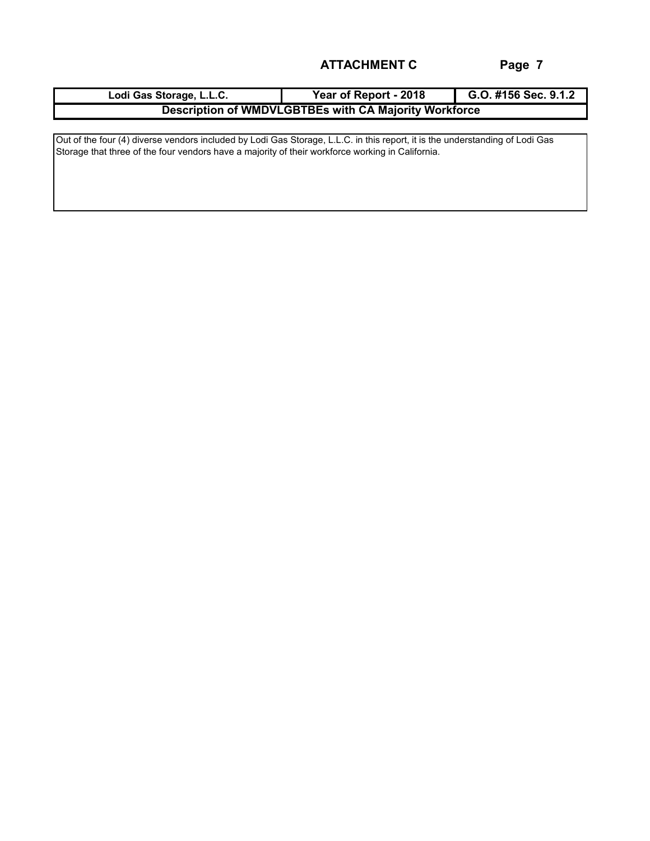| Lodi Gas Storage, L.L.C. | Year of Report - 2018                                 | G.O. #156 Sec. 9.1.2 |
|--------------------------|-------------------------------------------------------|----------------------|
|                          | Description of WMDVLGBTBEs with CA Majority Workforce |                      |

Out of the four (4) diverse vendors included by Lodi Gas Storage, L.L.C. in this report, it is the understanding of Lodi Gas Storage that three of the four vendors have a majority of their workforce working in California.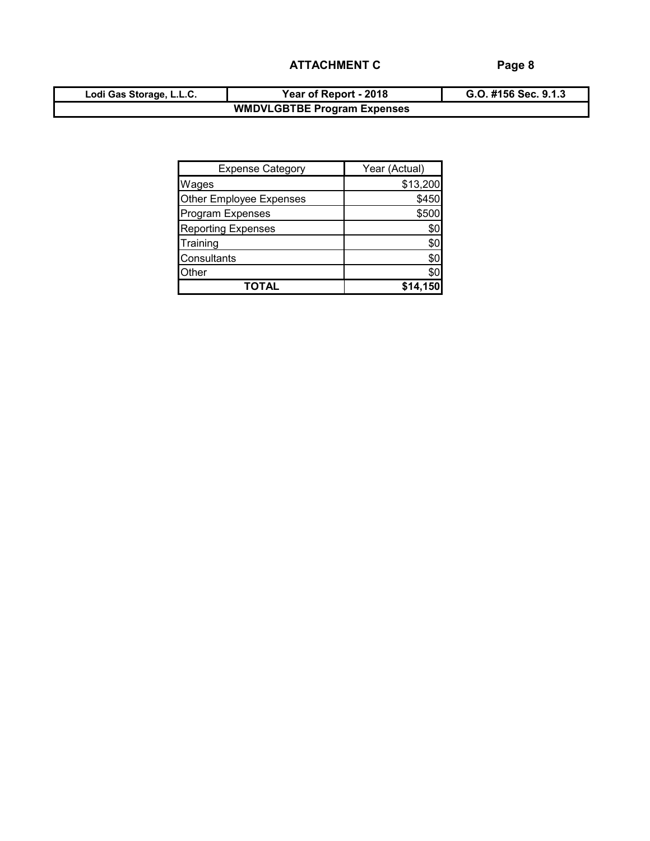| Lodi Gas Storage, L.L.C. | Year of Report - 2018              | G.O. #156 Sec. 9.1.3 |
|--------------------------|------------------------------------|----------------------|
|                          | <b>WMDVLGBTBE Program Expenses</b> |                      |

| <b>Expense Category</b>   | Year (Actual) |
|---------------------------|---------------|
| Wages                     | \$13,200      |
| Other Employee Expenses   | \$450         |
| <b>Program Expenses</b>   | \$500         |
| <b>Reporting Expenses</b> | \$0           |
| Training                  | \$0           |
| Consultants               | \$0           |
| Other                     | \$0           |
| TOTAL                     | \$14,15       |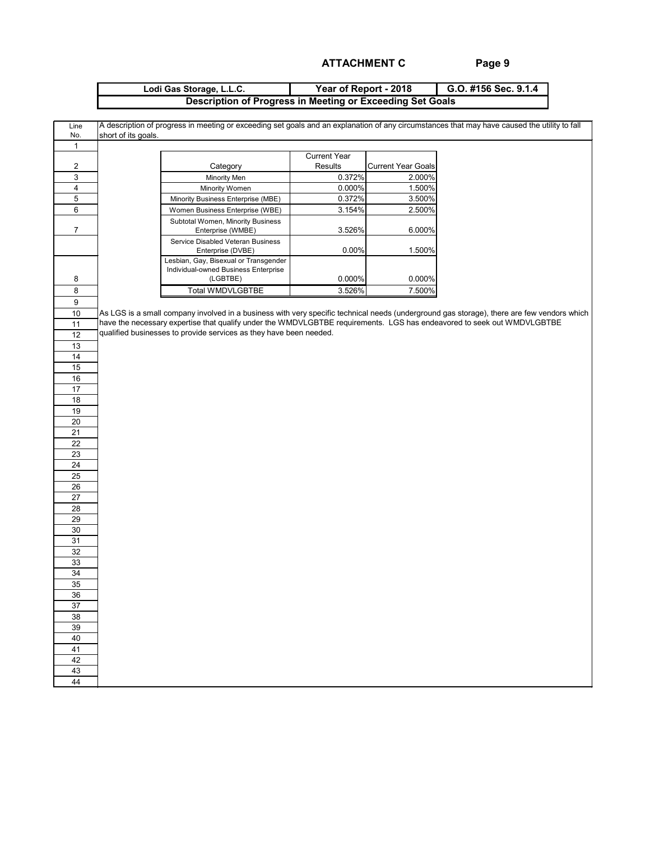| Lodi Gas Storage, L.L.C. | Year of Report - 2018                                     | G.O. #156 Sec. 9.1.4 |
|--------------------------|-----------------------------------------------------------|----------------------|
|                          | Description of Progress in Meeting or Exceeding Set Goals |                      |

| Line                      |                     |                                                                                                                        |                     |                           | A description of progress in meeting or exceeding set goals and an explanation of any circumstances that may have caused the utility to fall |
|---------------------------|---------------------|------------------------------------------------------------------------------------------------------------------------|---------------------|---------------------------|----------------------------------------------------------------------------------------------------------------------------------------------|
| No.                       | short of its goals. |                                                                                                                        |                     |                           |                                                                                                                                              |
| $\mathbf{1}$              |                     |                                                                                                                        |                     |                           |                                                                                                                                              |
|                           |                     |                                                                                                                        | <b>Current Year</b> |                           |                                                                                                                                              |
| $\boldsymbol{2}$          |                     | Category                                                                                                               | Results             | <b>Current Year Goals</b> |                                                                                                                                              |
| $\ensuremath{\mathsf{3}}$ |                     | Minority Men                                                                                                           | 0.372%              | 2.000%                    |                                                                                                                                              |
| $\overline{\mathbf{4}}$   |                     | Minority Women                                                                                                         | 0.000%              | 1.500%                    |                                                                                                                                              |
| $\mathbf 5$               |                     | Minority Business Enterprise (MBE)                                                                                     | 0.372%              | 3.500%                    |                                                                                                                                              |
| $\,6\,$                   |                     | Women Business Enterprise (WBE)                                                                                        | 3.154%              | 2.500%                    |                                                                                                                                              |
|                           |                     |                                                                                                                        |                     |                           |                                                                                                                                              |
| $\overline{7}$            |                     | Subtotal Women, Minority Business<br>Enterprise (WMBE)                                                                 | 3.526%              | 6.000%                    |                                                                                                                                              |
|                           |                     | Service Disabled Veteran Business<br>Enterprise (DVBE)                                                                 | 0.00%               | 1.500%                    |                                                                                                                                              |
|                           |                     | Lesbian, Gay, Bisexual or Transgender<br>Individual-owned Business Enterprise                                          |                     |                           |                                                                                                                                              |
| 8                         |                     | (LGBTBE)                                                                                                               | 0.000%              | 0.000%                    |                                                                                                                                              |
| 8                         |                     | <b>Total WMDVLGBTBE</b>                                                                                                | 3.526%              | 7.500%                    |                                                                                                                                              |
| 9                         |                     |                                                                                                                        |                     |                           |                                                                                                                                              |
| 10                        |                     |                                                                                                                        |                     |                           | As LGS is a small company involved in a business with very specific technical needs (underground gas storage), there are few vendors which   |
| 11                        |                     | have the necessary expertise that qualify under the WMDVLGBTBE requirements. LGS has endeavored to seek out WMDVLGBTBE |                     |                           |                                                                                                                                              |
| 12                        |                     | qualified businesses to provide services as they have been needed.                                                     |                     |                           |                                                                                                                                              |
| 13                        |                     |                                                                                                                        |                     |                           |                                                                                                                                              |
| 14                        |                     |                                                                                                                        |                     |                           |                                                                                                                                              |
| 15                        |                     |                                                                                                                        |                     |                           |                                                                                                                                              |
| 16                        |                     |                                                                                                                        |                     |                           |                                                                                                                                              |
| 17                        |                     |                                                                                                                        |                     |                           |                                                                                                                                              |
| 18                        |                     |                                                                                                                        |                     |                           |                                                                                                                                              |
| 19                        |                     |                                                                                                                        |                     |                           |                                                                                                                                              |
|                           |                     |                                                                                                                        |                     |                           |                                                                                                                                              |
| 20                        |                     |                                                                                                                        |                     |                           |                                                                                                                                              |
| $\overline{21}$           |                     |                                                                                                                        |                     |                           |                                                                                                                                              |
| 22                        |                     |                                                                                                                        |                     |                           |                                                                                                                                              |
| $\overline{23}$           |                     |                                                                                                                        |                     |                           |                                                                                                                                              |
| $\overline{24}$           |                     |                                                                                                                        |                     |                           |                                                                                                                                              |
| 25                        |                     |                                                                                                                        |                     |                           |                                                                                                                                              |
| 26                        |                     |                                                                                                                        |                     |                           |                                                                                                                                              |
| 27                        |                     |                                                                                                                        |                     |                           |                                                                                                                                              |
| 28                        |                     |                                                                                                                        |                     |                           |                                                                                                                                              |
| 29                        |                     |                                                                                                                        |                     |                           |                                                                                                                                              |
| 30                        |                     |                                                                                                                        |                     |                           |                                                                                                                                              |
| 31                        |                     |                                                                                                                        |                     |                           |                                                                                                                                              |
| 32                        |                     |                                                                                                                        |                     |                           |                                                                                                                                              |
| 33                        |                     |                                                                                                                        |                     |                           |                                                                                                                                              |
| 34                        |                     |                                                                                                                        |                     |                           |                                                                                                                                              |
| 35                        |                     |                                                                                                                        |                     |                           |                                                                                                                                              |
| 36                        |                     |                                                                                                                        |                     |                           |                                                                                                                                              |
| 37                        |                     |                                                                                                                        |                     |                           |                                                                                                                                              |
| 38                        |                     |                                                                                                                        |                     |                           |                                                                                                                                              |
|                           |                     |                                                                                                                        |                     |                           |                                                                                                                                              |
| 39                        |                     |                                                                                                                        |                     |                           |                                                                                                                                              |
| 40                        |                     |                                                                                                                        |                     |                           |                                                                                                                                              |
| 41                        |                     |                                                                                                                        |                     |                           |                                                                                                                                              |
| 42                        |                     |                                                                                                                        |                     |                           |                                                                                                                                              |
| 43                        |                     |                                                                                                                        |                     |                           |                                                                                                                                              |
| 44                        |                     |                                                                                                                        |                     |                           |                                                                                                                                              |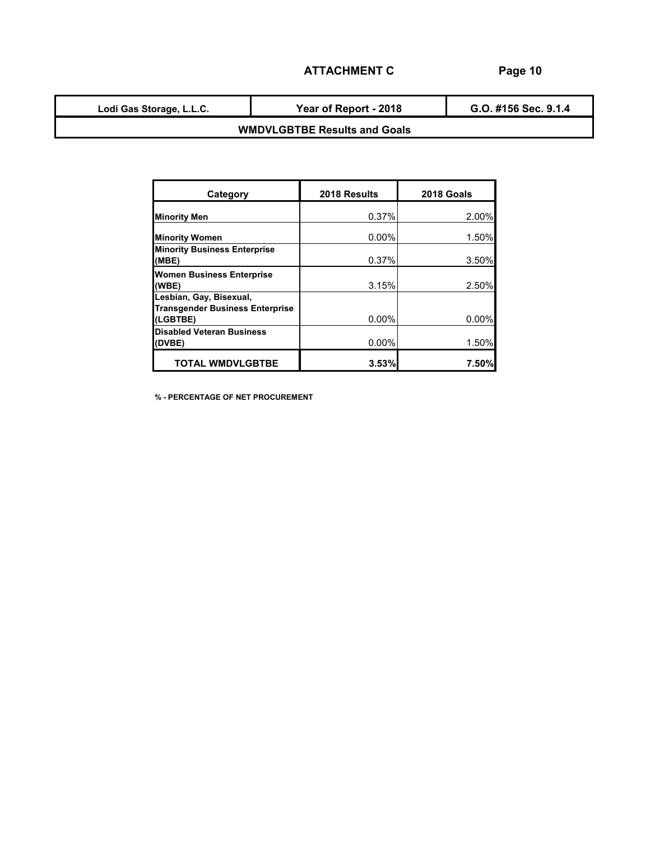**Lodi Gas Storage, L.L.C.**

**Year of Report - 2018**

**G.O. #156 Sec. 9.1.4**

### **WMDVLGBTBE Results and Goals**

|                                                                   | 2018 Results | 2018 Goals |
|-------------------------------------------------------------------|--------------|------------|
| Category                                                          |              |            |
| <b>Minority Men</b>                                               | 0.37%        | 2.00%      |
| <b>Minority Women</b>                                             | $0.00\%$     | 1.50%      |
| <b>Minority Business Enterprise</b><br>(MBE)                      | 0.37%        | 3.50%      |
| <b>Women Business Enterprise</b><br>(WBE)                         | 3.15%        | 2.50%      |
| Lesbian, Gay, Bisexual,<br><b>Transgender Business Enterprise</b> |              |            |
| (LGBTBE)                                                          | 0.00%        | 0.00%      |
| <b>Disabled Veteran Business</b><br>(DVBE)                        | $0.00\%$     | 1.50%      |
| <b>TOTAL WMDVLGBTBE</b>                                           | 3.53%        | 7.50%      |

**% - PERCENTAGE OF NET PROCUREMENT**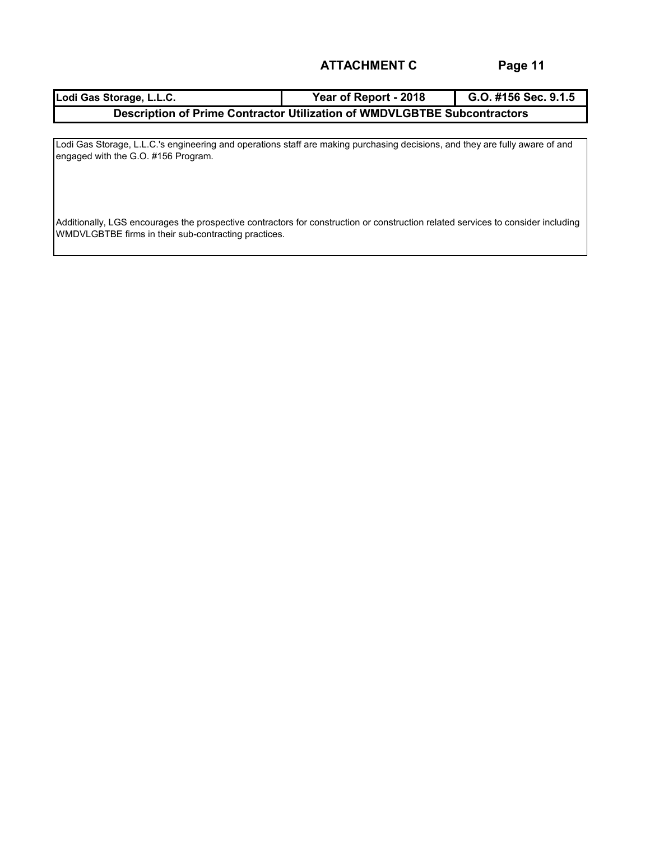| Lodi Gas Storage, L.L.C.                                                 | Year of Report - 2018 | G.O. #156 Sec. 9.1.5 |  |  |  |  |  |  |  |
|--------------------------------------------------------------------------|-----------------------|----------------------|--|--|--|--|--|--|--|
| Description of Prime Contractor Utilization of WMDVLGBTBE Subcontractors |                       |                      |  |  |  |  |  |  |  |

Lodi Gas Storage, L.L.C.'s engineering and operations staff are making purchasing decisions, and they are fully aware of and engaged with the G.O. #156 Program.

Additionally, LGS encourages the prospective contractors for construction or construction related services to consider including WMDVLGBTBE firms in their sub-contracting practices.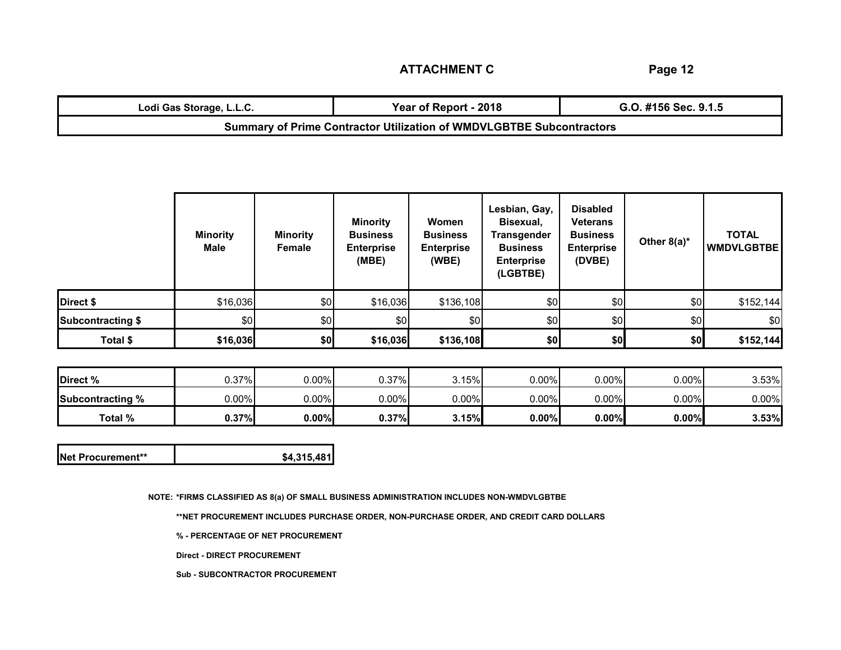**Page 12**

| Lodi Gas Storage, L.L.C.                                                    | Year of Report - 2018 | G.O. #156 Sec. 9.1.5 |  |  |  |  |  |  |
|-----------------------------------------------------------------------------|-----------------------|----------------------|--|--|--|--|--|--|
| <b>Summary of Prime Contractor Utilization of WMDVLGBTBE Subcontractors</b> |                       |                      |  |  |  |  |  |  |

|                          | <b>Minority</b><br>Male | <b>Minority</b><br>Female | <b>Minority</b><br><b>Business</b><br><b>Enterprise</b><br>(MBE) | Women<br><b>Business</b><br><b>Enterprise</b><br>(WBE) | Lesbian, Gay,<br>Bisexual,<br><b>Transgender</b><br><b>Business</b><br><b>Enterprise</b><br>(LGBTBE) | <b>Disabled</b><br><b>Veterans</b><br><b>Business</b><br><b>Enterprise</b><br>(DVBE) | Other $8(a)^*$ | <b>TOTAL</b><br><b>WMDVLGBTBE</b> |
|--------------------------|-------------------------|---------------------------|------------------------------------------------------------------|--------------------------------------------------------|------------------------------------------------------------------------------------------------------|--------------------------------------------------------------------------------------|----------------|-----------------------------------|
| Direct \$                | \$16,036                | \$0                       | \$16,036                                                         | \$136,108                                              | \$0                                                                                                  | \$0                                                                                  | \$0            | \$152,144                         |
| <b>Subcontracting \$</b> | \$0                     | \$0                       | \$0                                                              | \$0                                                    | \$0                                                                                                  | \$0                                                                                  | \$0            | \$0                               |
| Total \$                 | \$16,036                | \$0                       | \$16,036                                                         | \$136,108                                              | \$0                                                                                                  | \$0                                                                                  | \$0            | \$152,144                         |

| Direct %                | 0.37%    | 0.00%    | 0.37%    | 3.15%    | $0.00\%$ | $0.00\%$ | $0.00\%$ | 3.53%    |
|-------------------------|----------|----------|----------|----------|----------|----------|----------|----------|
| <b>Subcontracting %</b> | $0.00\%$ | 0.00%    | $0.00\%$ | $0.00\%$ | $0.00\%$ | $0.00\%$ | $0.00\%$ | $0.00\%$ |
| Total %                 | 0.37%    | $0.00\%$ | 0.37%    | 3.15%    | $0.00\%$ | 0.00%    | $0.00\%$ | 3.53%    |

| Net Procurement** | \$4,315,481 |
|-------------------|-------------|
|-------------------|-------------|

**NOTE: \*FIRMS CLASSIFIED AS 8(a) OF SMALL BUSINESS ADMINISTRATION INCLUDES NON-WMDVLGBTBE**

**\*\*NET PROCUREMENT INCLUDES PURCHASE ORDER, NON-PURCHASE ORDER, AND CREDIT CARD DOLLARS**

**% - PERCENTAGE OF NET PROCUREMENT**

**Direct - DIRECT PROCUREMENT**

**Sub - SUBCONTRACTOR PROCUREMENT**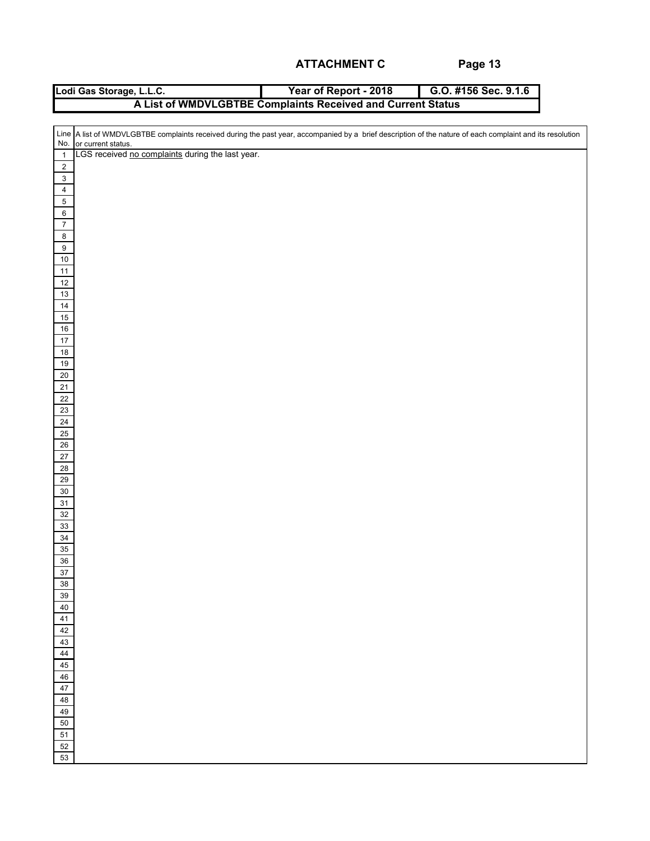| Lodi Gas Storage, L.L.C. | Year of Report - 2018                                       | G.O. #156 Sec. 9.1.6 |
|--------------------------|-------------------------------------------------------------|----------------------|
|                          | A List of WMDVLGBTBE Complaints Received and Current Status |                      |

|                         | Line A list of WMDVLGBTBE complaints received during the past year, accompanied by a brief description of the nature of each complaint and its resolution<br>No. or current status. |
|-------------------------|-------------------------------------------------------------------------------------------------------------------------------------------------------------------------------------|
| $\overline{\mathbf{1}}$ | LGS received no complaints during the last year.                                                                                                                                    |
|                         |                                                                                                                                                                                     |
| $\overline{2}$          |                                                                                                                                                                                     |
| $\overline{3}$          |                                                                                                                                                                                     |
| $\overline{4}$          |                                                                                                                                                                                     |
| $\overline{5}$          |                                                                                                                                                                                     |
| $6\phantom{a}$          |                                                                                                                                                                                     |
| $\overline{7}$          |                                                                                                                                                                                     |
| $\bf 8$                 |                                                                                                                                                                                     |
| $\overline{9}$          |                                                                                                                                                                                     |
| 10                      |                                                                                                                                                                                     |
| $11$                    |                                                                                                                                                                                     |
| $12$                    |                                                                                                                                                                                     |
| 13                      |                                                                                                                                                                                     |
| $14$                    |                                                                                                                                                                                     |
| 15                      |                                                                                                                                                                                     |
| 16                      |                                                                                                                                                                                     |
| 17                      |                                                                                                                                                                                     |
| 18                      |                                                                                                                                                                                     |
| 19                      |                                                                                                                                                                                     |
| $\frac{20}{2}$          |                                                                                                                                                                                     |
| $\overline{21}$         |                                                                                                                                                                                     |
| 22                      |                                                                                                                                                                                     |
| 23                      |                                                                                                                                                                                     |
| 24                      |                                                                                                                                                                                     |
| 25                      |                                                                                                                                                                                     |
| $26\overline{)}$        |                                                                                                                                                                                     |
| 27                      |                                                                                                                                                                                     |
| 28                      |                                                                                                                                                                                     |
| 29                      |                                                                                                                                                                                     |
| $30\,$                  |                                                                                                                                                                                     |
| 31                      |                                                                                                                                                                                     |
| 32                      |                                                                                                                                                                                     |
| 33                      |                                                                                                                                                                                     |
|                         |                                                                                                                                                                                     |
| $\frac{34}{35}$         |                                                                                                                                                                                     |
| $36\,$                  |                                                                                                                                                                                     |
| 37                      |                                                                                                                                                                                     |
| 38                      |                                                                                                                                                                                     |
| $39\,$                  |                                                                                                                                                                                     |
| 40                      |                                                                                                                                                                                     |
| $41$                    |                                                                                                                                                                                     |
|                         |                                                                                                                                                                                     |
| 42<br>43                |                                                                                                                                                                                     |
|                         |                                                                                                                                                                                     |
| 44                      |                                                                                                                                                                                     |
| 45                      |                                                                                                                                                                                     |
| 46                      |                                                                                                                                                                                     |
| 47                      |                                                                                                                                                                                     |
| 48                      |                                                                                                                                                                                     |
| 49                      |                                                                                                                                                                                     |
| 50                      |                                                                                                                                                                                     |
| 51                      |                                                                                                                                                                                     |
| $52\,$                  |                                                                                                                                                                                     |
| 53                      |                                                                                                                                                                                     |
|                         |                                                                                                                                                                                     |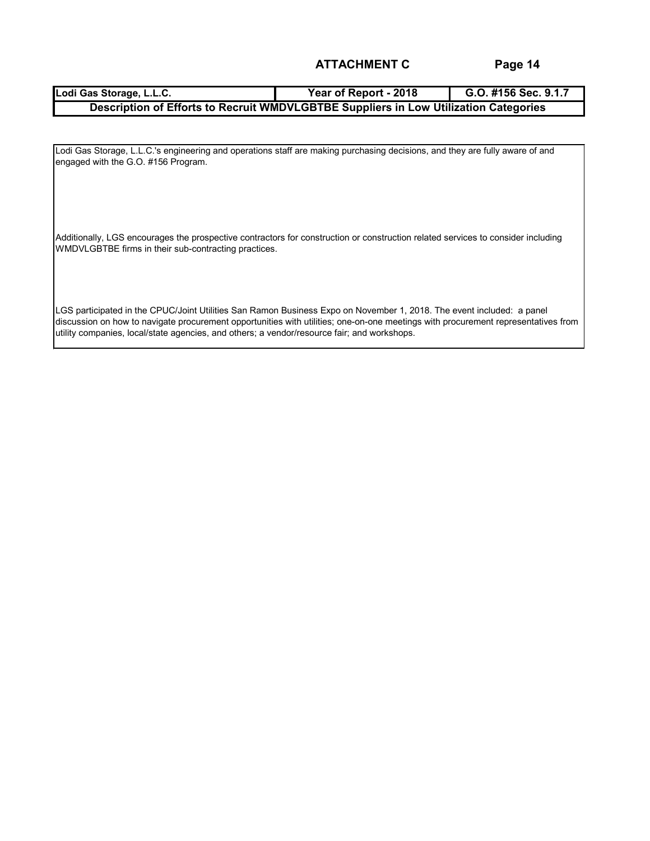### **Lodi Gas Storage, L.L.C. Year of Report - 2018 G.O. #156 Sec. 9.1.7 Description of Efforts to Recruit WMDVLGBTBE Suppliers in Low Utilization Categories**

Lodi Gas Storage, L.L.C.'s engineering and operations staff are making purchasing decisions, and they are fully aware of and engaged with the G.O. #156 Program.

Additionally, LGS encourages the prospective contractors for construction or construction related services to consider including WMDVLGBTBE firms in their sub-contracting practices.

LGS participated in the CPUC/Joint Utilities San Ramon Business Expo on November 1, 2018. The event included: a panel discussion on how to navigate procurement opportunities with utilities; one-on-one meetings with procurement representatives from utility companies, local/state agencies, and others; a vendor/resource fair; and workshops.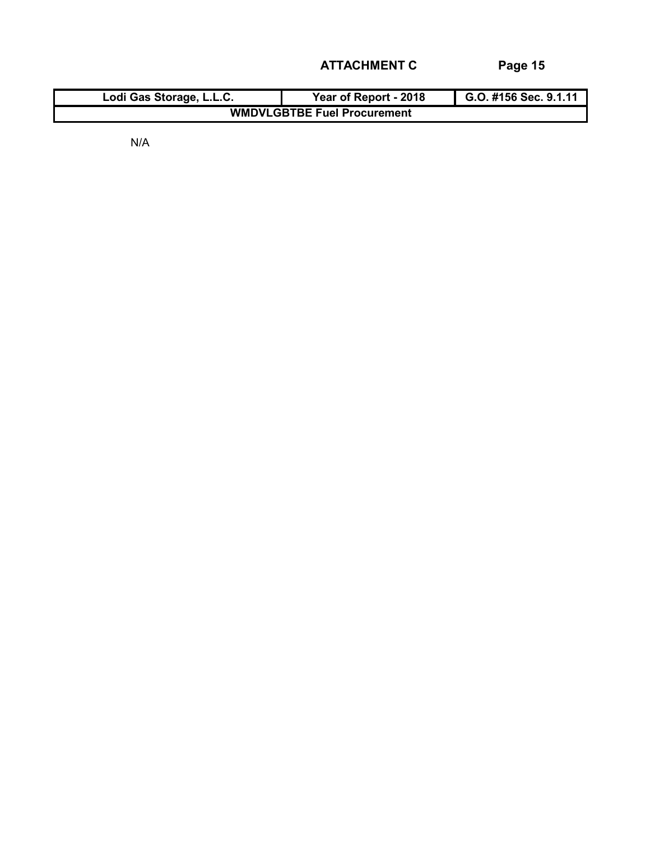| Lodi Gas Storage, L.L.C.           | Year of Report - 2018 | G.O. #156 Sec. 9.1.11 |  |  |  |  |  |  |  |
|------------------------------------|-----------------------|-----------------------|--|--|--|--|--|--|--|
| <b>WMDVLGBTBE Fuel Procurement</b> |                       |                       |  |  |  |  |  |  |  |

N/A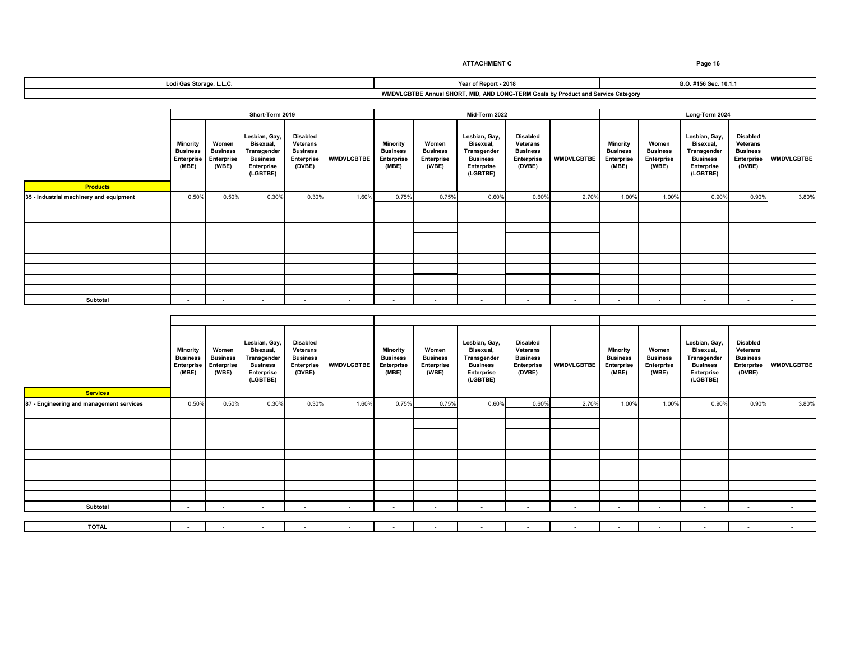|                                         | Short-Term 2019                                           |                                                        |                                                                                                      |                                                                                      |                |                                                           |                                                        | Mid-Term 2022                                                                                        |                                                                                      |                   | Long-Term 2024                                            |                                                        |                                                                                                      |                                                                                      |                   |
|-----------------------------------------|-----------------------------------------------------------|--------------------------------------------------------|------------------------------------------------------------------------------------------------------|--------------------------------------------------------------------------------------|----------------|-----------------------------------------------------------|--------------------------------------------------------|------------------------------------------------------------------------------------------------------|--------------------------------------------------------------------------------------|-------------------|-----------------------------------------------------------|--------------------------------------------------------|------------------------------------------------------------------------------------------------------|--------------------------------------------------------------------------------------|-------------------|
| <b>Products</b>                         | Minority<br><b>Business</b><br><b>Enterprise</b><br>(MBE) | Women<br><b>Business</b><br><b>Enterprise</b><br>(WBE) | Lesbian, Gay,<br>Bisexual,<br><b>Transgender</b><br><b>Business</b><br><b>Enterprise</b><br>(LGBTBE) | <b>Disabled</b><br><b>Veterans</b><br><b>Business</b><br><b>Enterprise</b><br>(DVBE) | WMDVLGBTBE     | Minority<br><b>Business</b><br><b>Enterprise</b><br>(MBE) | Women<br><b>Business</b><br><b>Enterprise</b><br>(WBE) | Lesbian, Gay,<br>Bisexual,<br><b>Transgender</b><br><b>Business</b><br><b>Enterprise</b><br>(LGBTBE) | <b>Disabled</b><br><b>Veterans</b><br><b>Business</b><br><b>Enterprise</b><br>(DVBE) | <b>WMDVLGBTBE</b> | Minority<br><b>Business</b><br><b>Enterprise</b><br>(MBE) | Women<br><b>Business</b><br><b>Enterprise</b><br>(WBE) | Lesbian, Gay,<br>Bisexual,<br><b>Transgender</b><br><b>Business</b><br><b>Enterprise</b><br>(LGBTBE) | <b>Disabled</b><br><b>Veterans</b><br><b>Business</b><br><b>Enterprise</b><br>(DVBE) | <b>WMDVLGBTBE</b> |
| 35 - Industrial machinery and equipment | 0.50%                                                     | 0.50%                                                  | 0.30%                                                                                                | 0.30%                                                                                | 1.60%          | 0.75%                                                     | 0.75%                                                  | 0.60%                                                                                                | 0.60%                                                                                | 2.70%             | 1.00%                                                     | 1.00%                                                  | 0.90%                                                                                                | 0.90%                                                                                | 3.80%             |
|                                         |                                                           |                                                        |                                                                                                      |                                                                                      |                |                                                           |                                                        |                                                                                                      |                                                                                      |                   |                                                           |                                                        |                                                                                                      |                                                                                      |                   |
|                                         |                                                           |                                                        |                                                                                                      |                                                                                      |                |                                                           |                                                        |                                                                                                      |                                                                                      |                   |                                                           |                                                        |                                                                                                      |                                                                                      |                   |
|                                         |                                                           |                                                        |                                                                                                      |                                                                                      |                |                                                           |                                                        |                                                                                                      |                                                                                      |                   |                                                           |                                                        |                                                                                                      |                                                                                      |                   |
|                                         |                                                           |                                                        |                                                                                                      |                                                                                      |                |                                                           |                                                        |                                                                                                      |                                                                                      |                   |                                                           |                                                        |                                                                                                      |                                                                                      |                   |
|                                         |                                                           |                                                        |                                                                                                      |                                                                                      |                |                                                           |                                                        |                                                                                                      |                                                                                      |                   |                                                           |                                                        |                                                                                                      |                                                                                      |                   |
|                                         |                                                           |                                                        |                                                                                                      |                                                                                      |                |                                                           |                                                        |                                                                                                      |                                                                                      |                   |                                                           |                                                        |                                                                                                      |                                                                                      |                   |
|                                         |                                                           |                                                        |                                                                                                      |                                                                                      |                |                                                           |                                                        |                                                                                                      |                                                                                      |                   |                                                           |                                                        |                                                                                                      |                                                                                      |                   |
|                                         |                                                           |                                                        |                                                                                                      |                                                                                      |                |                                                           |                                                        |                                                                                                      |                                                                                      |                   |                                                           |                                                        |                                                                                                      |                                                                                      |                   |
|                                         |                                                           |                                                        |                                                                                                      |                                                                                      |                |                                                           |                                                        |                                                                                                      |                                                                                      |                   |                                                           |                                                        |                                                                                                      |                                                                                      |                   |
| <b>Subtotal</b>                         | $\sim$                                                    | $\blacksquare$                                         | $\overline{\phantom{0}}$                                                                             | $\sim$                                                                               | $\sim$ $ \sim$ | $\sim$                                                    | $\sim$                                                 | $\sim$                                                                                               | $\sim$                                                                               | $\sim$            | $\sim$                                                    | $\sim$                                                 | $\sim$                                                                                               | $\sim$                                                                               | $\sim$            |

**Lodi Gas Storage, L.L.C.**

| <b>Services</b>                          | <b>Minority</b><br><b>Business</b><br><b>Enterprise</b><br>(MBE) | Women<br><b>Business</b><br><b>Enterprise</b><br>(WBE) | Lesbian, Gay,<br>Bisexual,<br><b>Transgender</b><br><b>Business</b><br><b>Enterprise</b><br>(LGBTBE) | <b>Disabled</b><br><b>Veterans</b><br><b>Business</b><br><b>Enterprise</b><br>(DVBE) | <b>WMDVLGBTBE</b> | <b>Minority</b><br><b>Business</b><br><b>Enterprise</b><br>(MBE) | Women<br><b>Business</b><br><b>Enterprise</b><br>(WBE) | Lesbian, Gay,<br>Bisexual,<br><b>Transgender</b><br><b>Business</b><br><b>Enterprise</b><br>(LGBTBE) | <b>Disabled</b><br><b>Veterans</b><br><b>Business</b><br><b>Enterprise</b><br>(DVBE) | <b>WMDVLGBTBE</b> | Minority<br><b>Business</b><br><b>Enterprise</b><br>(MBE) | Women<br><b>Business</b><br><b>Enterprise</b><br>(WBE) | Lesbian, Gay,<br>Bisexual,<br><b>Transgender</b><br><b>Business</b><br><b>Enterprise</b><br>(LGBTBE) | <b>Disabled</b><br><b>Veterans</b><br><b>Business</b><br><b>Enterprise</b><br>(DVBE) | <b>WMDVLGBTBE</b> |
|------------------------------------------|------------------------------------------------------------------|--------------------------------------------------------|------------------------------------------------------------------------------------------------------|--------------------------------------------------------------------------------------|-------------------|------------------------------------------------------------------|--------------------------------------------------------|------------------------------------------------------------------------------------------------------|--------------------------------------------------------------------------------------|-------------------|-----------------------------------------------------------|--------------------------------------------------------|------------------------------------------------------------------------------------------------------|--------------------------------------------------------------------------------------|-------------------|
| 87 - Engineering and management services | 0.50%                                                            | 0.50%                                                  | 0.30%                                                                                                | 0.30%                                                                                | 1.60%             | 0.75%                                                            | 0.75%                                                  | 0.60%                                                                                                | 0.60%                                                                                | 2.70%             | 1.00%                                                     | 1.00%                                                  | 0.90%                                                                                                | 0.90%                                                                                | 3.80%             |
|                                          |                                                                  |                                                        |                                                                                                      |                                                                                      |                   |                                                                  |                                                        |                                                                                                      |                                                                                      |                   |                                                           |                                                        |                                                                                                      |                                                                                      |                   |
|                                          |                                                                  |                                                        |                                                                                                      |                                                                                      |                   |                                                                  |                                                        |                                                                                                      |                                                                                      |                   |                                                           |                                                        |                                                                                                      |                                                                                      |                   |
|                                          |                                                                  |                                                        |                                                                                                      |                                                                                      |                   |                                                                  |                                                        |                                                                                                      |                                                                                      |                   |                                                           |                                                        |                                                                                                      |                                                                                      |                   |
|                                          |                                                                  |                                                        |                                                                                                      |                                                                                      |                   |                                                                  |                                                        |                                                                                                      |                                                                                      |                   |                                                           |                                                        |                                                                                                      |                                                                                      |                   |
|                                          |                                                                  |                                                        |                                                                                                      |                                                                                      |                   |                                                                  |                                                        |                                                                                                      |                                                                                      |                   |                                                           |                                                        |                                                                                                      |                                                                                      |                   |
|                                          |                                                                  |                                                        |                                                                                                      |                                                                                      |                   |                                                                  |                                                        |                                                                                                      |                                                                                      |                   |                                                           |                                                        |                                                                                                      |                                                                                      |                   |
|                                          |                                                                  |                                                        |                                                                                                      |                                                                                      |                   |                                                                  |                                                        |                                                                                                      |                                                                                      |                   |                                                           |                                                        |                                                                                                      |                                                                                      |                   |
|                                          |                                                                  |                                                        |                                                                                                      |                                                                                      |                   |                                                                  |                                                        |                                                                                                      |                                                                                      |                   |                                                           |                                                        |                                                                                                      |                                                                                      |                   |
|                                          |                                                                  |                                                        |                                                                                                      |                                                                                      |                   |                                                                  |                                                        |                                                                                                      |                                                                                      |                   |                                                           |                                                        |                                                                                                      |                                                                                      |                   |
| <b>Subtotal</b>                          | $\sim$                                                           | $\sim$                                                 | $\sim$                                                                                               | $\sim$                                                                               | $\sim$            | $\sim$                                                           | $\sim$                                                 | $\sim$                                                                                               | $\sim$                                                                               | $\sim$            | $\sim$                                                    | $\sim$                                                 | $\sim$                                                                                               | $\sim$                                                                               | $\sim$ $-$        |
|                                          |                                                                  |                                                        |                                                                                                      |                                                                                      |                   |                                                                  |                                                        |                                                                                                      |                                                                                      |                   |                                                           |                                                        |                                                                                                      |                                                                                      |                   |
| <b>TOTAL</b>                             | $\sim$                                                           |                                                        |                                                                                                      | $\sim$                                                                               | $\sim$            | $\sim$                                                           |                                                        | $\sim$                                                                                               | $\sim$                                                                               | $\sim$            | $\sim$                                                    | $\sim$                                                 | $\sim$                                                                                               | $\sim$                                                                               | $\sim$ 10 $\pm$   |

# **ATTACHMENT C Page 16**

**WMDVLGBTBE Annual SHORT, MID, AND LONG-TERM Goals by Product and Service Category**

**Year of Report - 2018 G.O. #156 Sec. 10.1.1**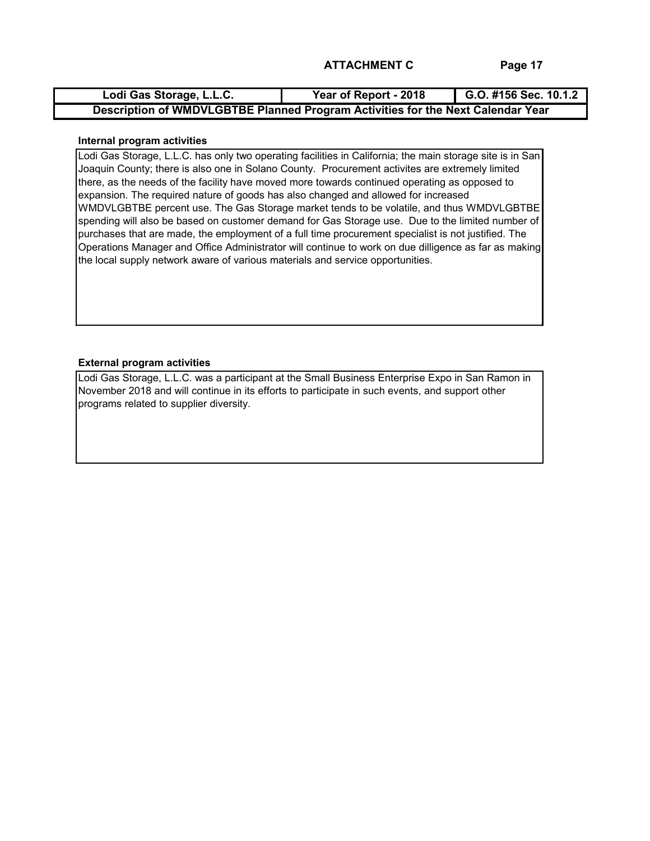| Lodi Gas Storage, L.L.C.                                                        | Year of Report - 2018 | G.O. #156 Sec. 10.1.2 |
|---------------------------------------------------------------------------------|-----------------------|-----------------------|
| Description of WMDVLGBTBE Planned Program Activities for the Next Calendar Year |                       |                       |

### **Internal program activities**

Lodi Gas Storage, L.L.C. has only two operating facilities in California; the main storage site is in San Joaquin County; there is also one in Solano County. Procurement activites are extremely limited there, as the needs of the facility have moved more towards continued operating as opposed to expansion. The required nature of goods has also changed and allowed for increased WMDVLGBTBE percent use. The Gas Storage market tends to be volatile, and thus WMDVLGBTBE spending will also be based on customer demand for Gas Storage use. Due to the limited number of purchases that are made, the employment of a full time procurement specialist is not justified. The Operations Manager and Office Administrator will continue to work on due dilligence as far as making the local supply network aware of various materials and service opportunities.

### **External program activities**

Lodi Gas Storage, L.L.C. was a participant at the Small Business Enterprise Expo in San Ramon in November 2018 and will continue in its efforts to participate in such events, and support other programs related to supplier diversity.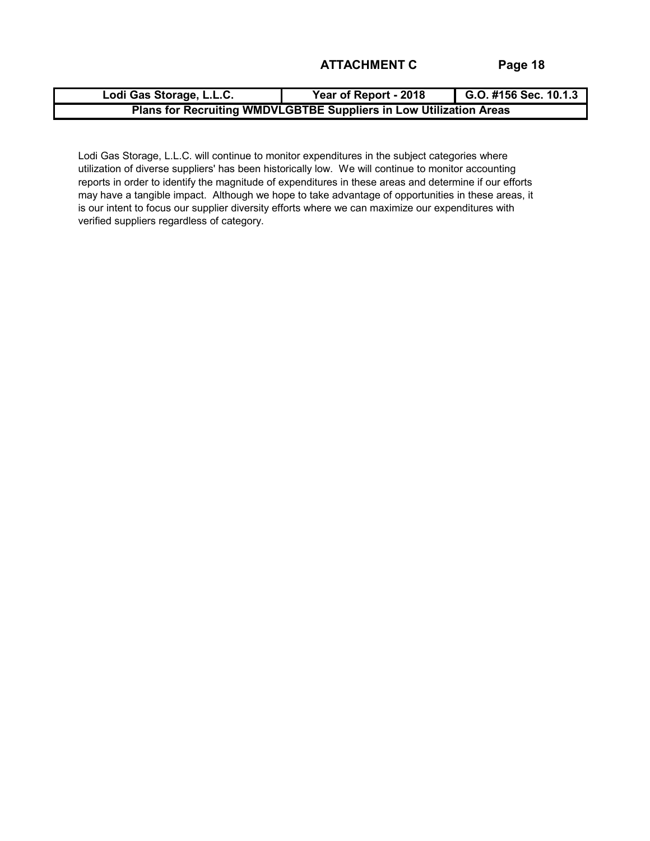| Lodi Gas Storage, L.L.C.                                           | Year of Report - 2018 | G.O. #156 Sec. 10.1.3 |  |  |  |  |  |  |  |
|--------------------------------------------------------------------|-----------------------|-----------------------|--|--|--|--|--|--|--|
| Plans for Recruiting WMDVLGBTBE Suppliers in Low Utilization Areas |                       |                       |  |  |  |  |  |  |  |

Lodi Gas Storage, L.L.C. will continue to monitor expenditures in the subject categories where utilization of diverse suppliers' has been historically low. We will continue to monitor accounting reports in order to identify the magnitude of expenditures in these areas and determine if our efforts may have a tangible impact. Although we hope to take advantage of opportunities in these areas, it is our intent to focus our supplier diversity efforts where we can maximize our expenditures with verified suppliers regardless of category.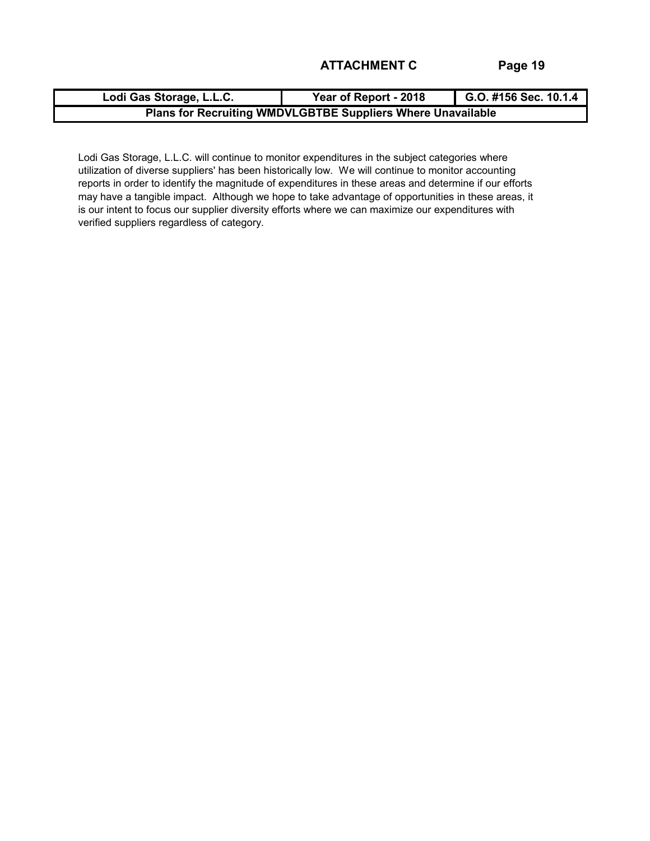| Lodi Gas Storage, L.L.C.                                    | Year of Report - 2018 | G.O. #156 Sec. 10.1.4 |  |  |
|-------------------------------------------------------------|-----------------------|-----------------------|--|--|
| Plans for Recruiting WMDVLGBTBE Suppliers Where Unavailable |                       |                       |  |  |

Lodi Gas Storage, L.L.C. will continue to monitor expenditures in the subject categories where utilization of diverse suppliers' has been historically low. We will continue to monitor accounting reports in order to identify the magnitude of expenditures in these areas and determine if our efforts may have a tangible impact. Although we hope to take advantage of opportunities in these areas, it is our intent to focus our supplier diversity efforts where we can maximize our expenditures with verified suppliers regardless of category.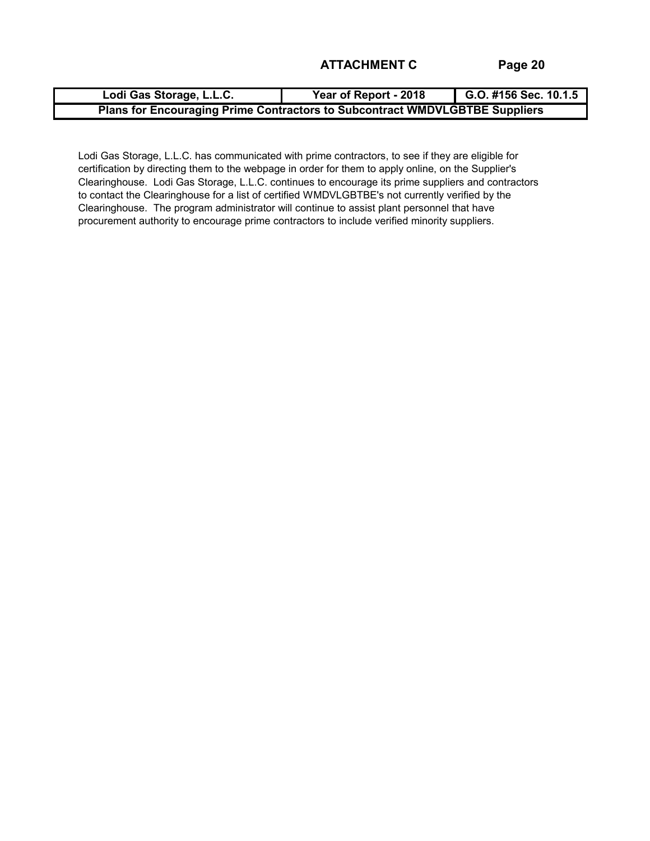| Lodi Gas Storage, L.L.C.                                                    | Year of Report - 2018 | G.O. #156 Sec. 10.1.5 |  |
|-----------------------------------------------------------------------------|-----------------------|-----------------------|--|
| Plans for Encouraging Prime Contractors to Subcontract WMDVLGBTBE Suppliers |                       |                       |  |

Lodi Gas Storage, L.L.C. has communicated with prime contractors, to see if they are eligible for certification by directing them to the webpage in order for them to apply online, on the Supplier's Clearinghouse. Lodi Gas Storage, L.L.C. continues to encourage its prime suppliers and contractors to contact the Clearinghouse for a list of certified WMDVLGBTBE's not currently verified by the Clearinghouse. The program administrator will continue to assist plant personnel that have procurement authority to encourage prime contractors to include verified minority suppliers.